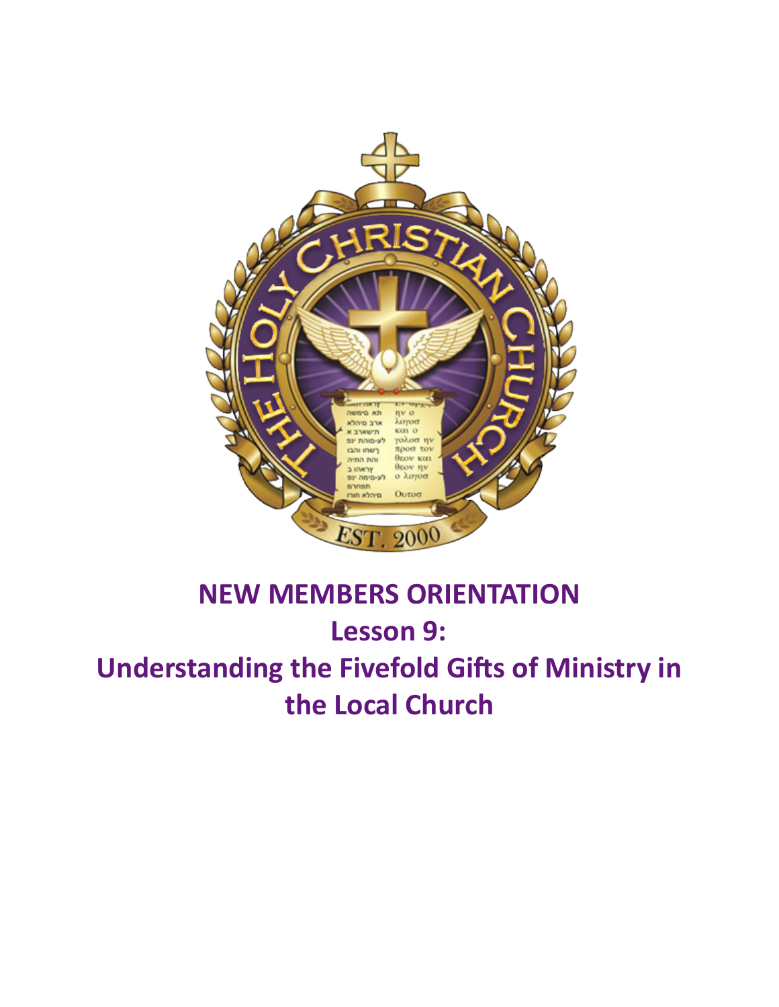

# **NEW MEMBERS ORIENTATION** Lesson 9: **Understanding the Fivefold Gifts of Ministry in the Local Church**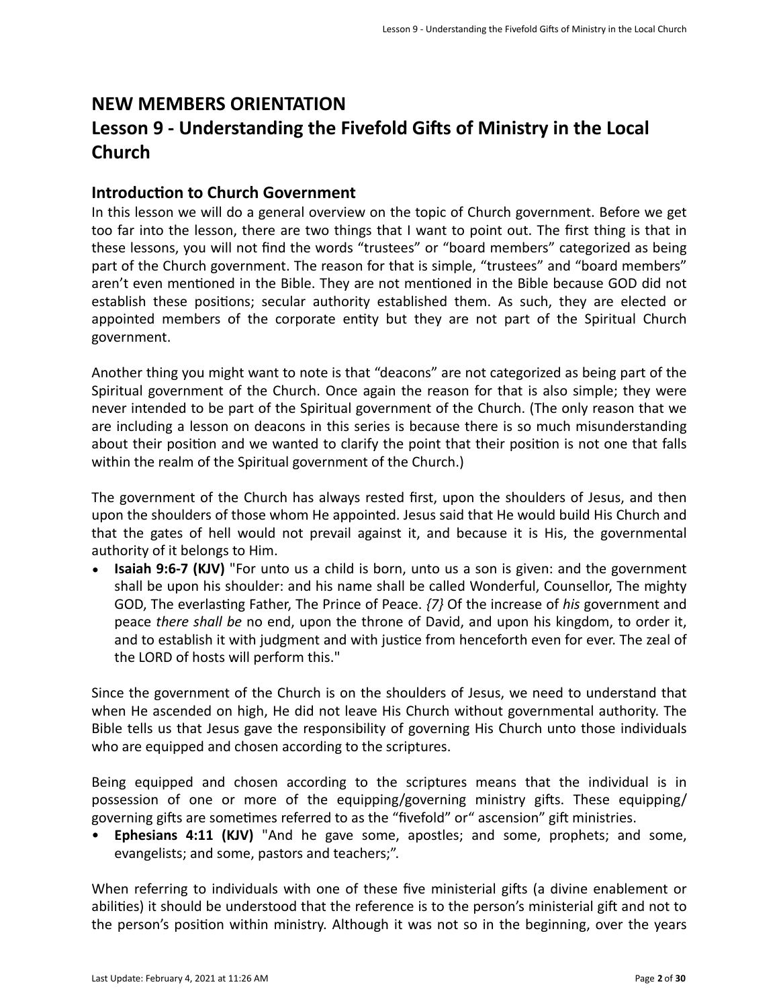## **NEW MEMBERS ORIENTATION** Lesson 9 - Understanding the Fivefold Gifts of Ministry in the Local **Church**

## **Introduction to Church Government**

In this lesson we will do a general overview on the topic of Church government. Before we get too far into the lesson, there are two things that I want to point out. The first thing is that in these lessons, you will not find the words "trustees" or "board members" categorized as being part of the Church government. The reason for that is simple, "trustees" and "board members" aren't even mentioned in the Bible. They are not mentioned in the Bible because GOD did not establish these positions; secular authority established them. As such, they are elected or appointed members of the corporate entity but they are not part of the Spiritual Church government. 

Another thing you might want to note is that "deacons" are not categorized as being part of the Spiritual government of the Church. Once again the reason for that is also simple; they were never intended to be part of the Spiritual government of the Church. (The only reason that we are including a lesson on deacons in this series is because there is so much misunderstanding about their position and we wanted to clarify the point that their position is not one that falls within the realm of the Spiritual government of the Church.)

The government of the Church has always rested first, upon the shoulders of Jesus, and then upon the shoulders of those whom He appointed. Jesus said that He would build His Church and that the gates of hell would not prevail against it, and because it is His, the governmental authority of it belongs to Him.

• **Isaiah 9:6-7 (KJV)** "For unto us a child is born, unto us a son is given: and the government shall be upon his shoulder: and his name shall be called Wonderful, Counsellor, The mighty GOD, The everlasting Father, The Prince of Peace.  $\{7\}$  Of the increase of *his* government and peace *there shall be* no end, upon the throne of David, and upon his kingdom, to order it, and to establish it with judgment and with justice from henceforth even for ever. The zeal of the LORD of hosts will perform this."

Since the government of the Church is on the shoulders of Jesus, we need to understand that when He ascended on high, He did not leave His Church without governmental authority. The Bible tells us that Jesus gave the responsibility of governing His Church unto those individuals who are equipped and chosen according to the scriptures.

Being equipped and chosen according to the scriptures means that the individual is in possession of one or more of the equipping/governing ministry gifts. These equipping/ governing gifts are sometimes referred to as the "fivefold" or " ascension" gift ministries.

• **Ephesians 4:11 (KJV)** "And he gave some, apostles; and some, prophets; and some, evangelists; and some, pastors and teachers;".

When referring to individuals with one of these five ministerial gifts (a divine enablement or abilities) it should be understood that the reference is to the person's ministerial gift and not to the person's position within ministry. Although it was not so in the beginning, over the years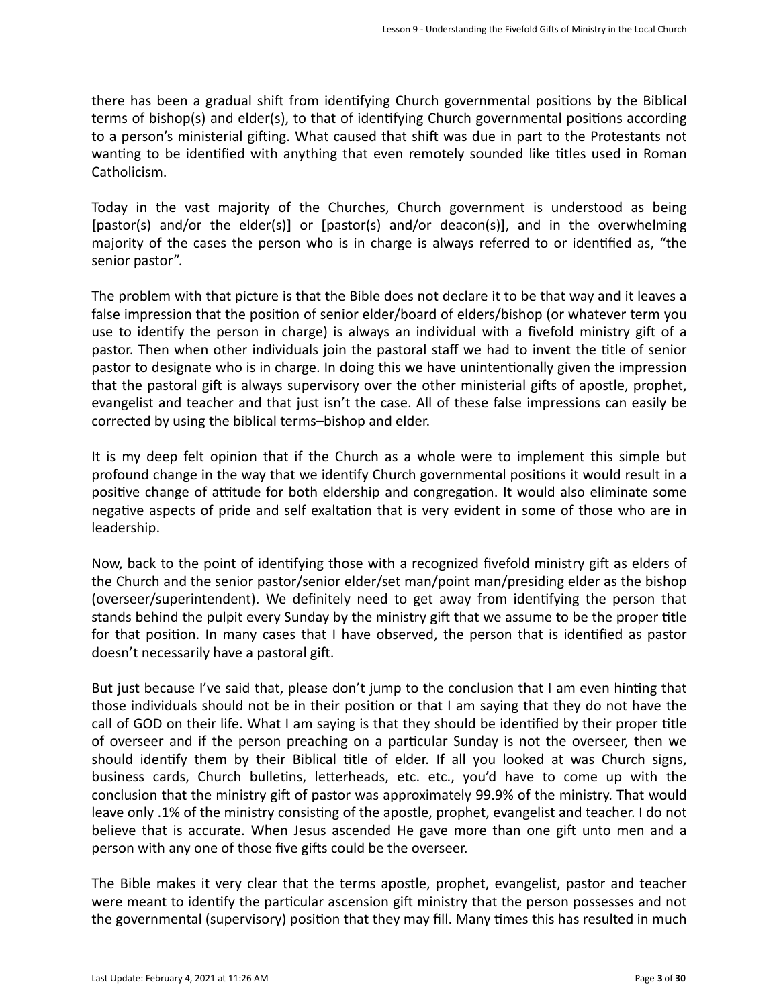there has been a gradual shift from identifying Church governmental positions by the Biblical terms of bishop(s) and elder(s), to that of identifying Church governmental positions according to a person's ministerial gifting. What caused that shift was due in part to the Protestants not wanting to be identified with anything that even remotely sounded like titles used in Roman Catholicism. 

Today in the vast majority of the Churches, Church government is understood as being **[**pastor(s) and/or the elder(s)**]** or **[**pastor(s) and/or deacon(s)**]**, and in the overwhelming majority of the cases the person who is in charge is always referred to or identified as, "the senior pastor".

The problem with that picture is that the Bible does not declare it to be that way and it leaves a false impression that the position of senior elder/board of elders/bishop (or whatever term you use to identify the person in charge) is always an individual with a fivefold ministry gift of a pastor. Then when other individuals join the pastoral staff we had to invent the title of senior pastor to designate who is in charge. In doing this we have unintentionally given the impression that the pastoral gift is always supervisory over the other ministerial gifts of apostle, prophet, evangelist and teacher and that just isn't the case. All of these false impressions can easily be corrected by using the biblical terms-bishop and elder.

It is my deep felt opinion that if the Church as a whole were to implement this simple but profound change in the way that we identify Church governmental positions it would result in a positive change of attitude for both eldership and congregation. It would also eliminate some negative aspects of pride and self exaltation that is very evident in some of those who are in leadership. 

Now, back to the point of identifying those with a recognized fivefold ministry gift as elders of the Church and the senior pastor/senior elder/set man/point man/presiding elder as the bishop (overseer/superintendent). We definitely need to get away from identifying the person that stands behind the pulpit every Sunday by the ministry gift that we assume to be the proper title for that position. In many cases that I have observed, the person that is identified as pastor doesn't necessarily have a pastoral gift.

But just because I've said that, please don't jump to the conclusion that I am even hinting that those individuals should not be in their position or that I am saying that they do not have the call of GOD on their life. What I am saying is that they should be identified by their proper title of overseer and if the person preaching on a particular Sunday is not the overseer, then we should identify them by their Biblical title of elder. If all you looked at was Church signs, business cards, Church bulletins, letterheads, etc. etc., you'd have to come up with the conclusion that the ministry gift of pastor was approximately 99.9% of the ministry. That would leave only .1% of the ministry consisting of the apostle, prophet, evangelist and teacher. I do not believe that is accurate. When Jesus ascended He gave more than one gift unto men and a person with any one of those five gifts could be the overseer.

The Bible makes it very clear that the terms apostle, prophet, evangelist, pastor and teacher were meant to identify the particular ascension gift ministry that the person possesses and not the governmental (supervisory) position that they may fill. Many times this has resulted in much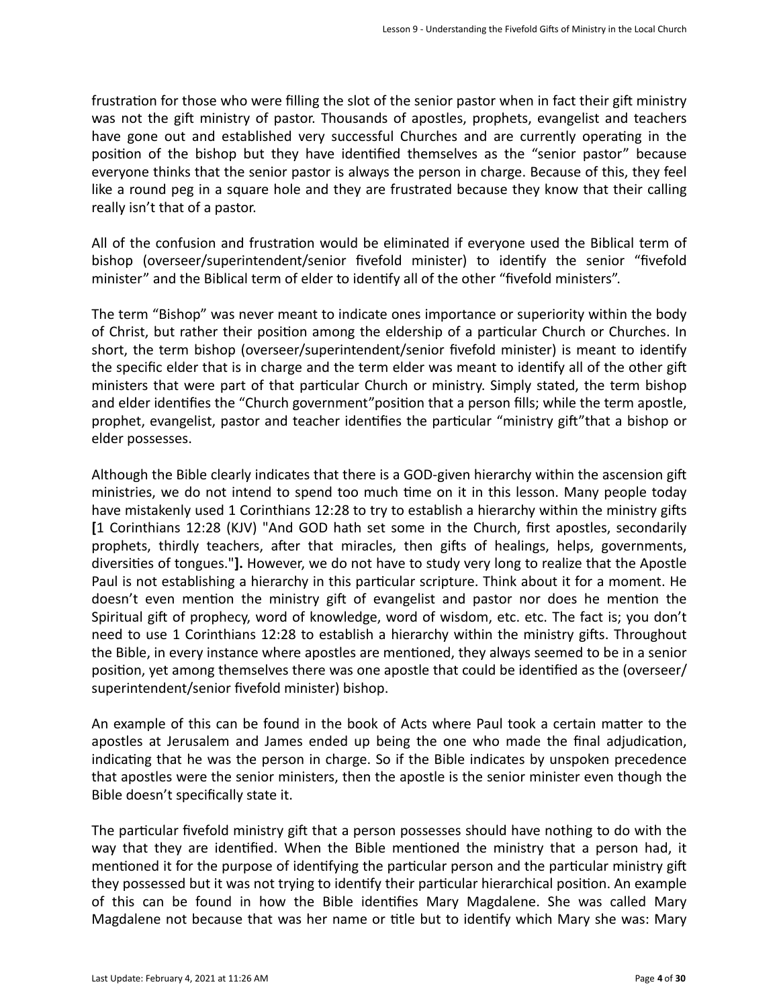frustration for those who were filling the slot of the senior pastor when in fact their gift ministry was not the gift ministry of pastor. Thousands of apostles, prophets, evangelist and teachers have gone out and established very successful Churches and are currently operating in the position of the bishop but they have identified themselves as the "senior pastor" because everyone thinks that the senior pastor is always the person in charge. Because of this, they feel like a round peg in a square hole and they are frustrated because they know that their calling really isn't that of a pastor.

All of the confusion and frustration would be eliminated if everyone used the Biblical term of bishop (overseer/superintendent/senior fivefold minister) to identify the senior "fivefold minister" and the Biblical term of elder to identify all of the other "fivefold ministers".

The term "Bishop" was never meant to indicate ones importance or superiority within the body of Christ, but rather their position among the eldership of a particular Church or Churches. In short, the term bishop (overseer/superintendent/senior fivefold minister) is meant to identify the specific elder that is in charge and the term elder was meant to identify all of the other gift ministers that were part of that particular Church or ministry. Simply stated, the term bishop and elder identifies the "Church government" position that a person fills; while the term apostle, prophet, evangelist, pastor and teacher identifies the particular "ministry gift" that a bishop or elder possesses.

Although the Bible clearly indicates that there is a GOD-given hierarchy within the ascension gift ministries, we do not intend to spend too much time on it in this lesson. Many people today have mistakenly used 1 Corinthians 12:28 to try to establish a hierarchy within the ministry gifts **[**1 Corinthians 12:28 (KJV) "And GOD hath set some in the Church, first apostles, secondarily prophets, thirdly teachers, after that miracles, then gifts of healings, helps, governments, diversities of tongues."]. However, we do not have to study very long to realize that the Apostle Paul is not establishing a hierarchy in this particular scripture. Think about it for a moment. He doesn't even mention the ministry gift of evangelist and pastor nor does he mention the Spiritual gift of prophecy, word of knowledge, word of wisdom, etc. etc. The fact is; you don't need to use 1 Corinthians 12:28 to establish a hierarchy within the ministry gifts. Throughout the Bible, in every instance where apostles are mentioned, they always seemed to be in a senior position, yet among themselves there was one apostle that could be identified as the (overseer/ superintendent/senior fivefold minister) bishop.

An example of this can be found in the book of Acts where Paul took a certain matter to the apostles at Jerusalem and James ended up being the one who made the final adjudication, indicating that he was the person in charge. So if the Bible indicates by unspoken precedence that apostles were the senior ministers, then the apostle is the senior minister even though the Bible doesn't specifically state it.

The particular fivefold ministry gift that a person possesses should have nothing to do with the way that they are identified. When the Bible mentioned the ministry that a person had, it mentioned it for the purpose of identifying the particular person and the particular ministry gift they possessed but it was not trying to identify their particular hierarchical position. An example of this can be found in how the Bible identifies Mary Magdalene. She was called Mary Magdalene not because that was her name or title but to identify which Mary she was: Mary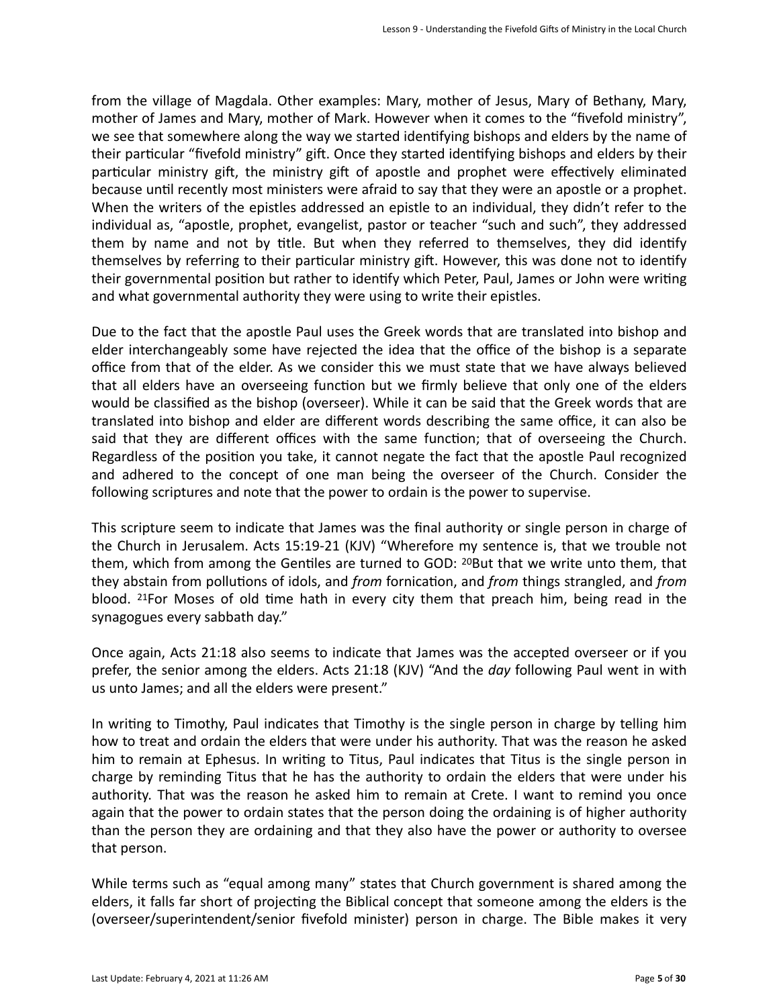from the village of Magdala. Other examples: Mary, mother of Jesus, Mary of Bethany, Mary, mother of James and Mary, mother of Mark. However when it comes to the "fivefold ministry", we see that somewhere along the way we started identifying bishops and elders by the name of their particular "fivefold ministry" gift. Once they started identifying bishops and elders by their particular ministry gift, the ministry gift of apostle and prophet were effectively eliminated because until recently most ministers were afraid to say that they were an apostle or a prophet. When the writers of the epistles addressed an epistle to an individual, they didn't refer to the individual as, "apostle, prophet, evangelist, pastor or teacher "such and such", they addressed them by name and not by title. But when they referred to themselves, they did identify themselves by referring to their particular ministry gift. However, this was done not to identify their governmental position but rather to identify which Peter, Paul, James or John were writing and what governmental authority they were using to write their epistles.

Due to the fact that the apostle Paul uses the Greek words that are translated into bishop and elder interchangeably some have rejected the idea that the office of the bishop is a separate office from that of the elder. As we consider this we must state that we have always believed that all elders have an overseeing function but we firmly believe that only one of the elders would be classified as the bishop (overseer). While it can be said that the Greek words that are translated into bishop and elder are different words describing the same office, it can also be said that they are different offices with the same function; that of overseeing the Church. Regardless of the position you take, it cannot negate the fact that the apostle Paul recognized and adhered to the concept of one man being the overseer of the Church. Consider the following scriptures and note that the power to ordain is the power to supervise.

This scripture seem to indicate that James was the final authority or single person in charge of the Church in Jerusalem. Acts 15:19-21 (KJV) "Wherefore my sentence is, that we trouble not them, which from among the Gentiles are turned to GOD: <sup>20</sup>But that we write unto them, that they abstain from pollutions of idols, and *from* fornication, and *from* things strangled, and *from* blood. <sup>21</sup>For Moses of old time hath in every city them that preach him, being read in the synagogues every sabbath day."

Once again, Acts 21:18 also seems to indicate that James was the accepted overseer or if you prefer, the senior among the elders. Acts 21:18 (KJV) "And the *day* following Paul went in with us unto James; and all the elders were present."

In writing to Timothy, Paul indicates that Timothy is the single person in charge by telling him how to treat and ordain the elders that were under his authority. That was the reason he asked him to remain at Ephesus. In writing to Titus, Paul indicates that Titus is the single person in charge by reminding Titus that he has the authority to ordain the elders that were under his authority. That was the reason he asked him to remain at Crete. I want to remind you once again that the power to ordain states that the person doing the ordaining is of higher authority than the person they are ordaining and that they also have the power or authority to oversee that person.

While terms such as "equal among many" states that Church government is shared among the elders, it falls far short of projecting the Biblical concept that someone among the elders is the (overseer/superintendent/senior fivefold minister) person in charge. The Bible makes it very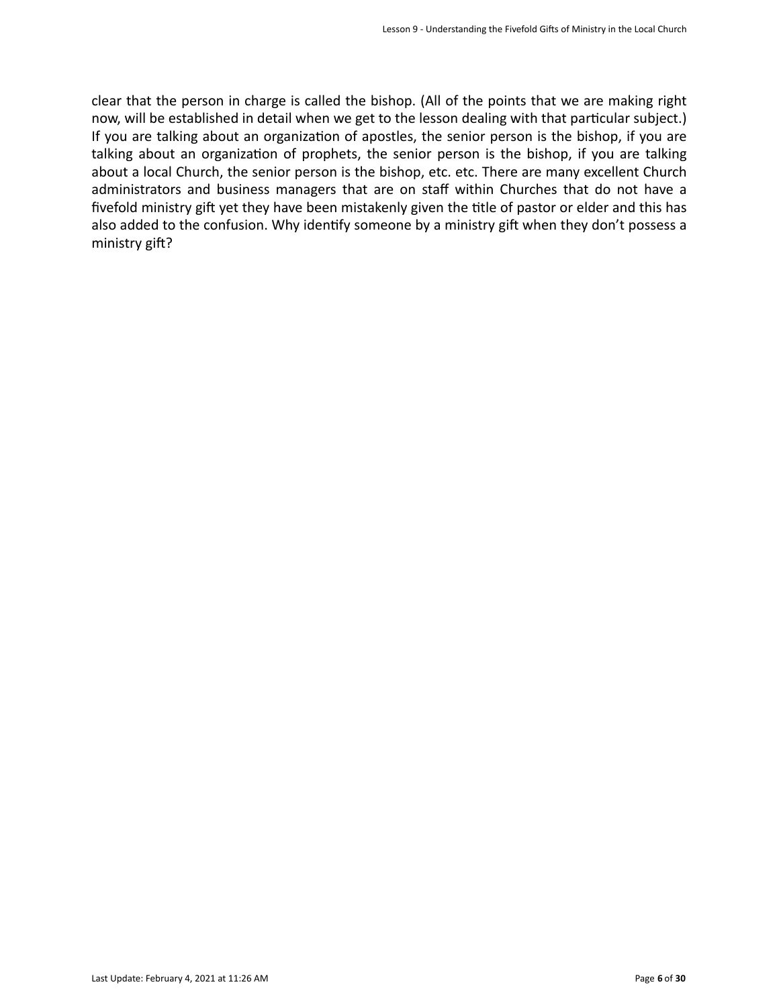clear that the person in charge is called the bishop. (All of the points that we are making right now, will be established in detail when we get to the lesson dealing with that particular subject.) If you are talking about an organization of apostles, the senior person is the bishop, if you are talking about an organization of prophets, the senior person is the bishop, if you are talking about a local Church, the senior person is the bishop, etc. etc. There are many excellent Church administrators and business managers that are on staff within Churches that do not have a fivefold ministry gift yet they have been mistakenly given the title of pastor or elder and this has also added to the confusion. Why identify someone by a ministry gift when they don't possess a ministry gift?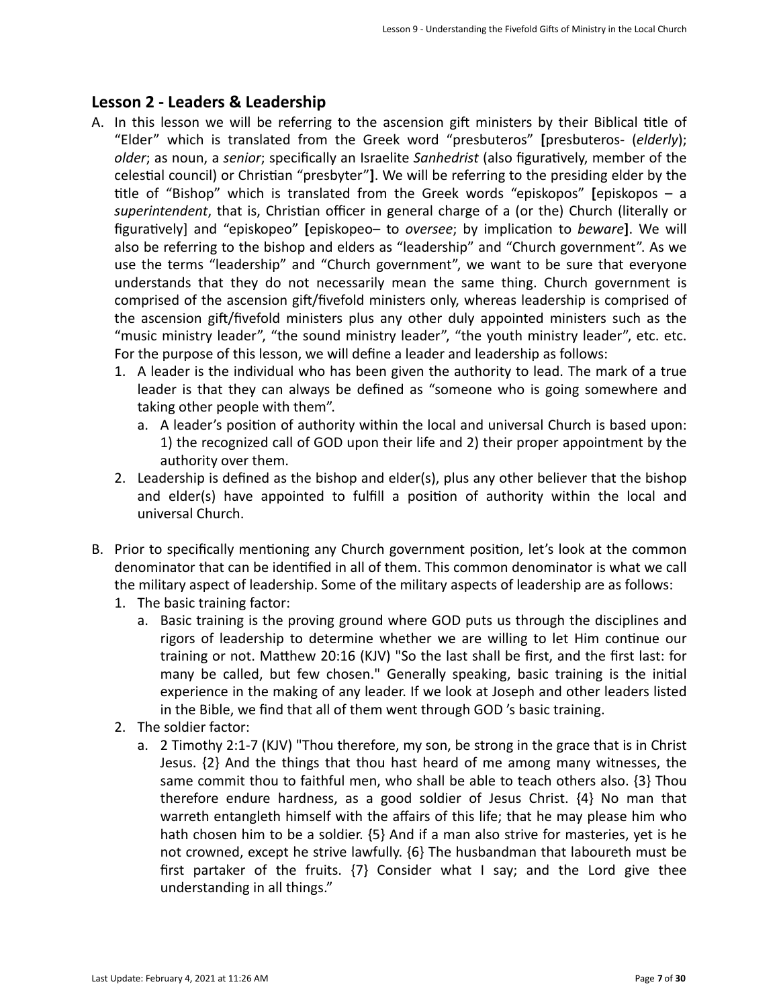## Lesson 2 - Leaders & Leadership

- A. In this lesson we will be referring to the ascension gift ministers by their Biblical title of "Elder" which is translated from the Greek word "presbuteros" **[**presbuteros- (*elderly*); *older*; as noun, a *senior*; specifically an Israelite *Sanhedrist* (also figuratively, member of the celestial council) or Christian "presbyter"]. We will be referring to the presiding elder by the title of "Bishop" which is translated from the Greek words "episkopos" [episkopos – a superintendent, that is, Christian officer in general charge of a (or the) Church (literally or figuratively] and "episkopeo" [episkopeo– to *oversee*; by implication to *beware*]. We will also be referring to the bishop and elders as "leadership" and "Church government". As we use the terms "leadership" and "Church government", we want to be sure that everyone understands that they do not necessarily mean the same thing. Church government is comprised of the ascension gift/fivefold ministers only, whereas leadership is comprised of the ascension gift/fivefold ministers plus any other duly appointed ministers such as the "music ministry leader", "the sound ministry leader", "the youth ministry leader", etc. etc. For the purpose of this lesson, we will define a leader and leadership as follows:
	- 1. A leader is the individual who has been given the authority to lead. The mark of a true leader is that they can always be defined as "someone who is going somewhere and taking other people with them".
		- a. A leader's position of authority within the local and universal Church is based upon: 1) the recognized call of GOD upon their life and 2) their proper appointment by the authority over them.
	- 2. Leadership is defined as the bishop and elder(s), plus any other believer that the bishop and elder(s) have appointed to fulfill a position of authority within the local and universal Church.
- B. Prior to specifically mentioning any Church government position, let's look at the common denominator that can be identified in all of them. This common denominator is what we call the military aspect of leadership. Some of the military aspects of leadership are as follows:
	- 1. The basic training factor:
		- a. Basic training is the proving ground where GOD puts us through the disciplines and rigors of leadership to determine whether we are willing to let Him continue our training or not. Matthew 20:16 (KJV) "So the last shall be first, and the first last: for many be called, but few chosen." Generally speaking, basic training is the initial experience in the making of any leader. If we look at Joseph and other leaders listed in the Bible, we find that all of them went through GOD 's basic training.
	- 2. The soldier factor:
		- a. 2 Timothy 2:1-7 (KJV) "Thou therefore, my son, be strong in the grace that is in Christ Jesus.  $\{2\}$  And the things that thou hast heard of me among many witnesses, the same commit thou to faithful men, who shall be able to teach others also. {3} Thou therefore endure hardness, as a good soldier of Jesus Christ.  $\{4\}$  No man that warreth entangleth himself with the affairs of this life; that he may please him who hath chosen him to be a soldier.  $\{5\}$  And if a man also strive for masteries, yet is he not crowned, except he strive lawfully.  ${6}$  The husbandman that laboureth must be first partaker of the fruits.  $\{7\}$  Consider what I say; and the Lord give thee understanding in all things."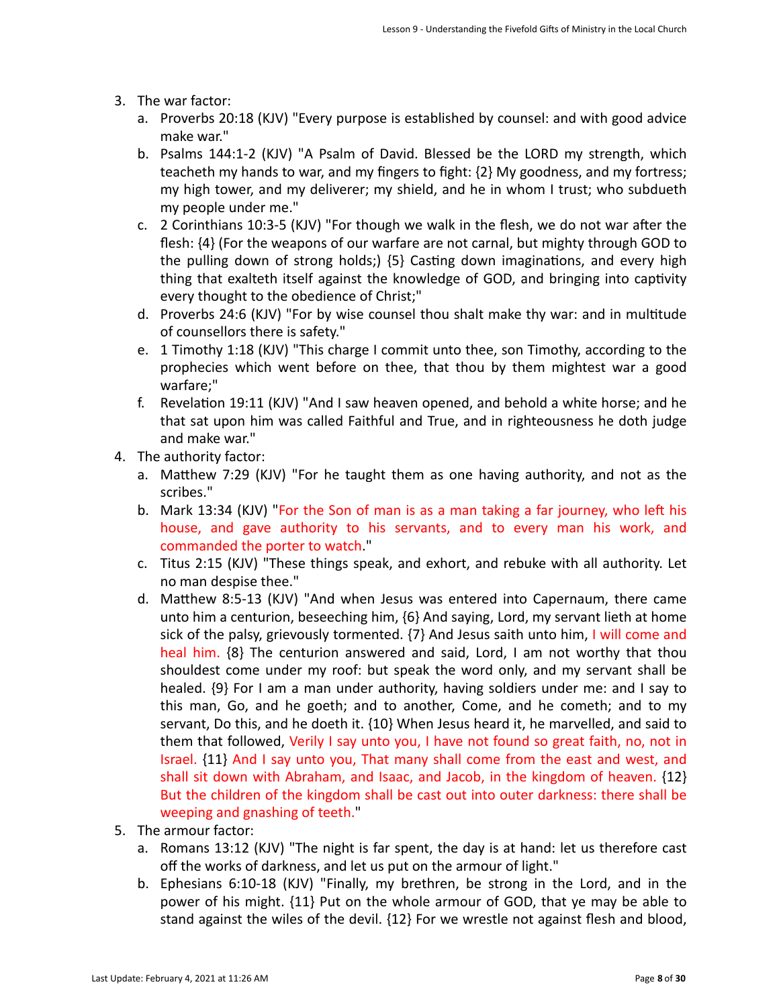- 3. The war factor:
	- a. Proverbs 20:18 (KJV) "Every purpose is established by counsel: and with good advice make war."
	- b. Psalms 144:1-2 (KJV) "A Psalm of David. Blessed be the LORD my strength, which teacheth my hands to war, and my fingers to fight:  $\{2\}$  My goodness, and my fortress; my high tower, and my deliverer; my shield, and he in whom I trust; who subdueth my people under me."
	- c. 2 Corinthians  $10:3-5$  (KJV) "For though we walk in the flesh, we do not war after the flesh:  $\{4\}$  (For the weapons of our warfare are not carnal, but mighty through GOD to the pulling down of strong holds;)  ${5}$  Casting down imaginations, and every high thing that exalteth itself against the knowledge of GOD, and bringing into captivity every thought to the obedience of Christ;"
	- d. Proverbs 24:6 (KJV) "For by wise counsel thou shalt make thy war: and in multitude of counsellors there is safety."
	- e. 1 Timothy 1:18 (KJV) "This charge I commit unto thee, son Timothy, according to the prophecies which went before on thee, that thou by them mightest war a good warfare;"
	- f. Revelation 19:11 (KJV) "And I saw heaven opened, and behold a white horse; and he that sat upon him was called Faithful and True, and in righteousness he doth judge and make war."
- 4. The authority factor:
	- a. Matthew 7:29 (KJV) "For he taught them as one having authority, and not as the scribes."
	- b. Mark 13:34 (KJV) "For the Son of man is as a man taking a far journey, who left his house, and gave authority to his servants, and to every man his work, and commanded the porter to watch."
	- c. Titus 2:15 (KJV) "These things speak, and exhort, and rebuke with all authority. Let no man despise thee."
	- d. Matthew 8:5-13 (KJV) "And when Jesus was entered into Capernaum, there came unto him a centurion, beseeching him,  ${6}$  And saying, Lord, my servant lieth at home sick of the palsy, grievously tormented.  $\{7\}$  And Jesus saith unto him, I will come and heal him. {8} The centurion answered and said, Lord, I am not worthy that thou shouldest come under my roof: but speak the word only, and my servant shall be healed.  $\{9\}$  For I am a man under authority, having soldiers under me: and I say to this man, Go, and he goeth; and to another, Come, and he cometh; and to my servant, Do this, and he doeth it. {10} When Jesus heard it, he marvelled, and said to them that followed, Verily I say unto you, I have not found so great faith, no, not in Israel.  $\{11\}$  And I say unto you, That many shall come from the east and west, and shall sit down with Abraham, and Isaac, and Jacob, in the kingdom of heaven.  $\{12\}$ But the children of the kingdom shall be cast out into outer darkness: there shall be weeping and gnashing of teeth."
- 5. The armour factor:
	- a. Romans  $13:12$  (KJV) "The night is far spent, the day is at hand: let us therefore cast off the works of darkness, and let us put on the armour of light."
	- b. Ephesians 6:10-18 (KJV) "Finally, my brethren, be strong in the Lord, and in the power of his might. {11} Put on the whole armour of GOD, that ye may be able to stand against the wiles of the devil.  $\{12\}$  For we wrestle not against flesh and blood,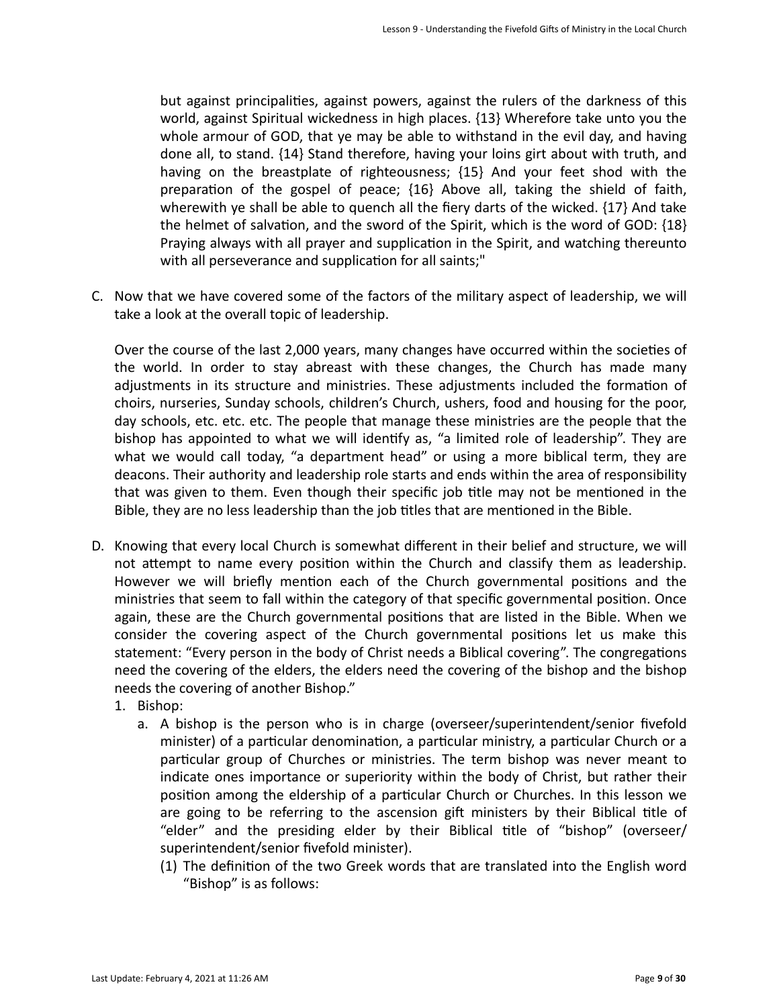but against principalities, against powers, against the rulers of the darkness of this world, against Spiritual wickedness in high places. {13} Wherefore take unto you the whole armour of GOD, that ye may be able to withstand in the evil day, and having done all, to stand. {14} Stand therefore, having your loins girt about with truth, and having on the breastplate of righteousness; {15} And your feet shod with the preparation of the gospel of peace;  $\{16\}$  Above all, taking the shield of faith, wherewith ye shall be able to quench all the fiery darts of the wicked.  $\{17\}$  And take the helmet of salvation, and the sword of the Spirit, which is the word of GOD:  $\{18\}$ Praying always with all prayer and supplication in the Spirit, and watching thereunto with all perseverance and supplication for all saints;"

C. Now that we have covered some of the factors of the military aspect of leadership, we will take a look at the overall topic of leadership.

Over the course of the last 2,000 years, many changes have occurred within the societies of the world. In order to stay abreast with these changes, the Church has made many adjustments in its structure and ministries. These adjustments included the formation of choirs, nurseries, Sunday schools, children's Church, ushers, food and housing for the poor, day schools, etc. etc. etc. The people that manage these ministries are the people that the bishop has appointed to what we will identify as, "a limited role of leadership". They are what we would call today, "a department head" or using a more biblical term, they are deacons. Their authority and leadership role starts and ends within the area of responsibility that was given to them. Even though their specific job title may not be mentioned in the Bible, they are no less leadership than the job titles that are mentioned in the Bible.

- D. Knowing that every local Church is somewhat different in their belief and structure, we will not attempt to name every position within the Church and classify them as leadership. However we will briefly mention each of the Church governmental positions and the ministries that seem to fall within the category of that specific governmental position. Once again, these are the Church governmental positions that are listed in the Bible. When we consider the covering aspect of the Church governmental positions let us make this statement: "Every person in the body of Christ needs a Biblical covering". The congregations need the covering of the elders, the elders need the covering of the bishop and the bishop needs the covering of another Bishop."
	- 1. Bishop:
		- a. A bishop is the person who is in charge (overseer/superintendent/senior fivefold minister) of a particular denomination, a particular ministry, a particular Church or a particular group of Churches or ministries. The term bishop was never meant to indicate ones importance or superiority within the body of Christ, but rather their position among the eldership of a particular Church or Churches. In this lesson we are going to be referring to the ascension gift ministers by their Biblical title of "elder" and the presiding elder by their Biblical title of "bishop" (overseer/ superintendent/senior fivefold minister).
			- (1) The definition of the two Greek words that are translated into the English word "Bishop" is as follows: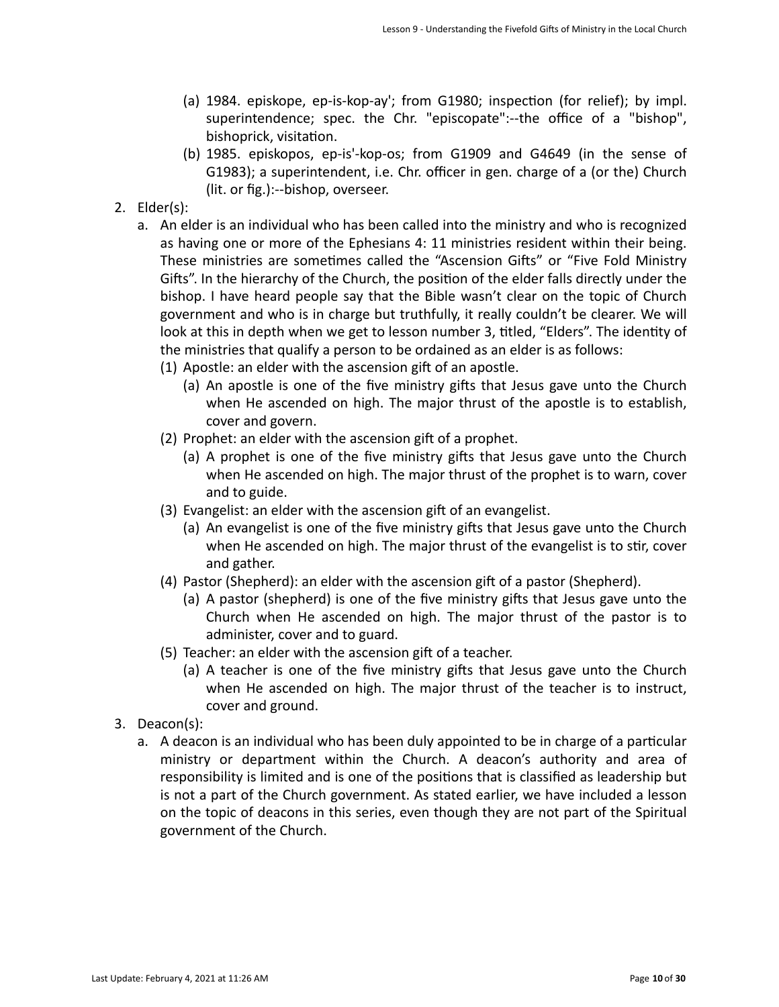- (a) 1984. episkope, ep-is-kop-ay'; from G1980; inspection (for relief); by impl. superintendence; spec. the Chr. "episcopate":--the office of a "bishop", bishoprick, visitation.
- (b) 1985. episkopos, ep-is'-kop-os; from G1909 and G4649 (in the sense of G1983); a superintendent, i.e. Chr. officer in gen. charge of a (or the) Church (lit. or fig.):--bishop, overseer.
- 2. Elder(s):
	- a. An elder is an individual who has been called into the ministry and who is recognized as having one or more of the Ephesians 4: 11 ministries resident within their being. These ministries are sometimes called the "Ascension Gifts" or "Five Fold Ministry Gifts". In the hierarchy of the Church, the position of the elder falls directly under the bishop. I have heard people say that the Bible wasn't clear on the topic of Church government and who is in charge but truthfully, it really couldn't be clearer. We will look at this in depth when we get to lesson number 3, titled, "Elders". The identity of the ministries that qualify a person to be ordained as an elder is as follows:
		- $(1)$  Apostle: an elder with the ascension gift of an apostle.
			- (a) An apostle is one of the five ministry gifts that Jesus gave unto the Church when He ascended on high. The major thrust of the apostle is to establish, cover and govern.
		- (2) Prophet: an elder with the ascension gift of a prophet.
			- (a) A prophet is one of the five ministry gifts that Jesus gave unto the Church when He ascended on high. The major thrust of the prophet is to warn, cover and to guide.
		- (3) Evangelist: an elder with the ascension gift of an evangelist.
			- (a) An evangelist is one of the five ministry gifts that Jesus gave unto the Church when He ascended on high. The major thrust of the evangelist is to stir, cover and gather.
		- (4) Pastor (Shepherd): an elder with the ascension gift of a pastor (Shepherd).
			- (a) A pastor (shepherd) is one of the five ministry gifts that Jesus gave unto the Church when He ascended on high. The major thrust of the pastor is to administer, cover and to guard.
		- (5) Teacher: an elder with the ascension gift of a teacher.
			- (a) A teacher is one of the five ministry gifts that Jesus gave unto the Church when He ascended on high. The major thrust of the teacher is to instruct, cover and ground.
- 3. Deacon(s):
	- a. A deacon is an individual who has been duly appointed to be in charge of a particular ministry or department within the Church. A deacon's authority and area of responsibility is limited and is one of the positions that is classified as leadership but is not a part of the Church government. As stated earlier, we have included a lesson on the topic of deacons in this series, even though they are not part of the Spiritual government of the Church.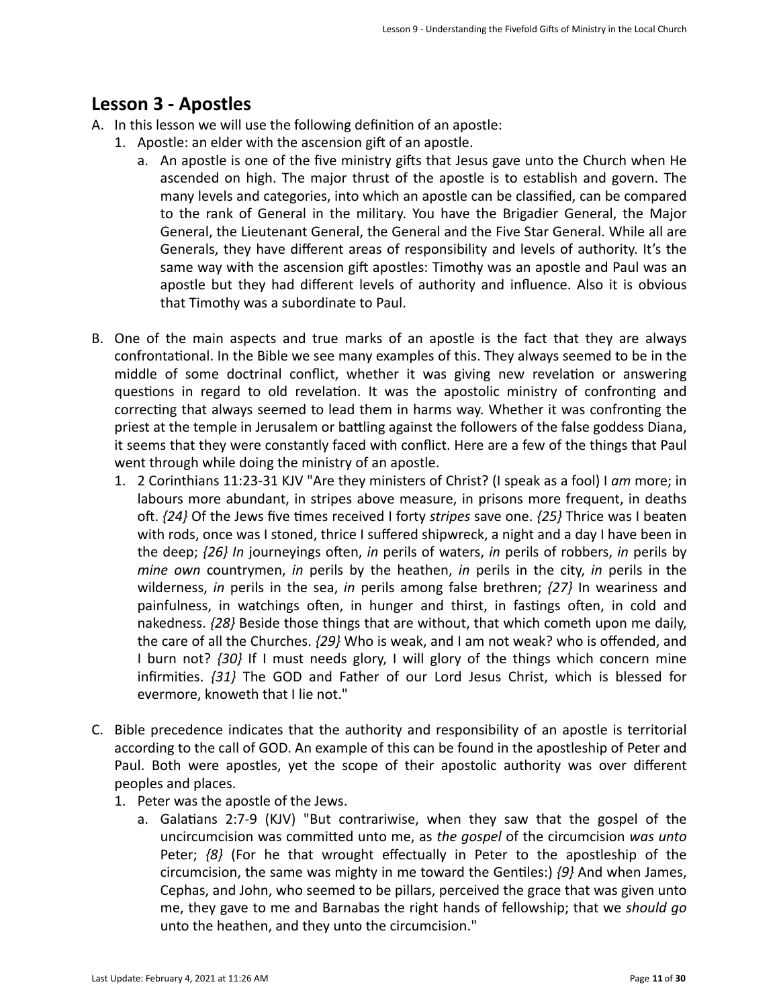## Lesson 3 - Apostles

- A. In this lesson we will use the following definition of an apostle:
	- 1. Apostle: an elder with the ascension gift of an apostle.
		- a. An apostle is one of the five ministry gifts that Jesus gave unto the Church when He ascended on high. The major thrust of the apostle is to establish and govern. The many levels and categories, into which an apostle can be classified, can be compared to the rank of General in the military. You have the Brigadier General, the Major General, the Lieutenant General, the General and the Five Star General. While all are Generals, they have different areas of responsibility and levels of authority. It's the same way with the ascension gift apostles: Timothy was an apostle and Paul was an apostle but they had different levels of authority and influence. Also it is obvious that Timothy was a subordinate to Paul.
- B. One of the main aspects and true marks of an apostle is the fact that they are always confrontational. In the Bible we see many examples of this. They always seemed to be in the middle of some doctrinal conflict, whether it was giving new revelation or answering questions in regard to old revelation. It was the apostolic ministry of confronting and correcting that always seemed to lead them in harms way. Whether it was confronting the priest at the temple in Jerusalem or battling against the followers of the false goddess Diana, it seems that they were constantly faced with conflict. Here are a few of the things that Paul went through while doing the ministry of an apostle.
	- 1. 2 Corinthians 11:23-31 KJV "Are they ministers of Christ? (I speak as a fool) I am more; in labours more abundant, in stripes above measure, in prisons more frequent, in deaths oft.  $\{24\}$  Of the Jews five times received I forty *stripes* save one.  $\{25\}$  Thrice was I beaten with rods, once was I stoned, thrice I suffered shipwreck, a night and a day I have been in the deep; {26} In journeyings often, in perils of waters, in perils of robbers, in perils by *mine* own countrymen, *in* perils by the heathen, *in* perils in the city, *in* perils in the wilderness, *in* perils in the sea, *in* perils among false brethren;  $\{27\}$  In weariness and painfulness, in watchings often, in hunger and thirst, in fastings often, in cold and nakedness. {28} Beside those things that are without, that which cometh upon me daily, the care of all the Churches.  $\{29\}$  Who is weak, and I am not weak? who is offended, and I burn not? *{30}* If I must needs glory, I will glory of the things which concern mine infirmities.  $\{31\}$  The GOD and Father of our Lord Jesus Christ, which is blessed for evermore, knoweth that I lie not."
- C. Bible precedence indicates that the authority and responsibility of an apostle is territorial according to the call of GOD. An example of this can be found in the apostleship of Peter and Paul. Both were apostles, yet the scope of their apostolic authority was over different peoples and places.
	- 1. Peter was the apostle of the Jews.
		- a. Galatians  $2:7-9$  (KJV) "But contrariwise, when they saw that the gospel of the uncircumcision was committed unto me, as the *gospel* of the circumcision was unto Peter;  $\{8\}$  (For he that wrought effectually in Peter to the apostleship of the circumcision, the same was mighty in me toward the Gentiles:)  $\{9\}$  And when James, Cephas, and John, who seemed to be pillars, perceived the grace that was given unto me, they gave to me and Barnabas the right hands of fellowship; that we *should go* unto the heathen, and they unto the circumcision."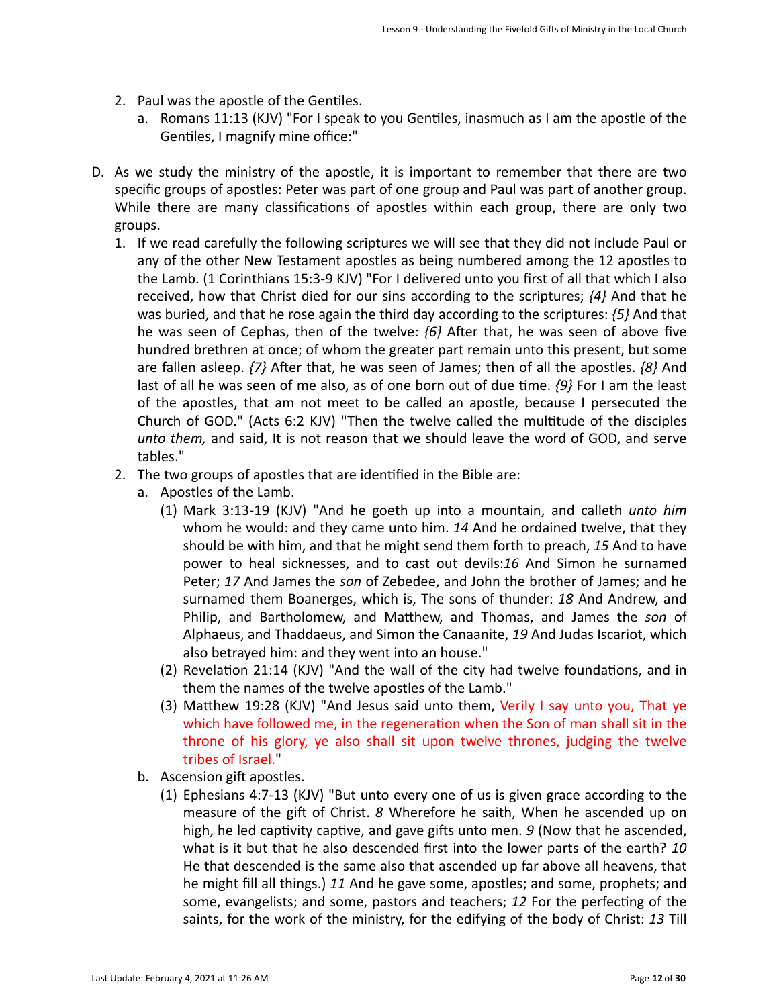- 2. Paul was the apostle of the Gentiles.
	- a. Romans 11:13 (KJV) "For I speak to you Gentiles, inasmuch as I am the apostle of the Gentiles, I magnify mine office:"
- D. As we study the ministry of the apostle, it is important to remember that there are two specific groups of apostles: Peter was part of one group and Paul was part of another group. While there are many classifications of apostles within each group, there are only two groups.
	- 1. If we read carefully the following scriptures we will see that they did not include Paul or any of the other New Testament apostles as being numbered among the 12 apostles to the Lamb. (1 Corinthians 15:3-9 KJV) "For I delivered unto you first of all that which I also received, how that Christ died for our sins according to the scriptures;  $\{4\}$  And that he was buried, and that he rose again the third day according to the scriptures:  $\{5\}$  And that he was seen of Cephas, then of the twelve:  ${6}$  After that, he was seen of above five hundred brethren at once; of whom the greater part remain unto this present, but some are fallen asleep.  $\{7\}$  After that, he was seen of James; then of all the apostles.  $\{8\}$  And last of all he was seen of me also, as of one born out of due time.  $\{9\}$  For I am the least of the apostles, that am not meet to be called an apostle, because I persecuted the Church of GOD." (Acts  $6:2$  KJV) "Then the twelve called the multitude of the disciples *unto them,* and said, It is not reason that we should leave the word of GOD, and serve tables."
	- 2. The two groups of apostles that are identified in the Bible are:
		- a. Apostles of the Lamb.
			- (1) Mark 3:13-19 (KJV) "And he goeth up into a mountain, and calleth *unto him* whom he would: and they came unto him. 14 And he ordained twelve, that they should be with him, and that he might send them forth to preach, 15 And to have power to heal sicknesses, and to cast out devils:16 And Simon he surnamed Peter; 17 And James the *son* of Zebedee, and John the brother of James; and he surnamed them Boanerges, which is, The sons of thunder: 18 And Andrew, and Philip, and Bartholomew, and Matthew, and Thomas, and James the *son* of Alphaeus, and Thaddaeus, and Simon the Canaanite, 19 And Judas Iscariot, which also betrayed him: and they went into an house."
			- (2) Revelation 21:14 (KJV) "And the wall of the city had twelve foundations, and in them the names of the twelve apostles of the Lamb."
			- (3) Matthew 19:28 (KJV) "And Jesus said unto them, Verily I say unto you, That ye which have followed me, in the regeneration when the Son of man shall sit in the throne of his glory, ye also shall sit upon twelve thrones, judging the twelve tribes of Israel."
		- b. Ascension gift apostles.
			- (1) Ephesians  $4:7-13$  (KJV) "But unto every one of us is given grace according to the measure of the gift of Christ. *8* Wherefore he saith, When he ascended up on high, he led captivity captive, and gave gifts unto men. 9 (Now that he ascended, what is it but that he also descended first into the lower parts of the earth? 10 He that descended is the same also that ascended up far above all heavens, that he might fill all things.) 11 And he gave some, apostles; and some, prophets; and some, evangelists; and some, pastors and teachers; 12 For the perfecting of the saints, for the work of the ministry, for the edifying of the body of Christ: 13 Till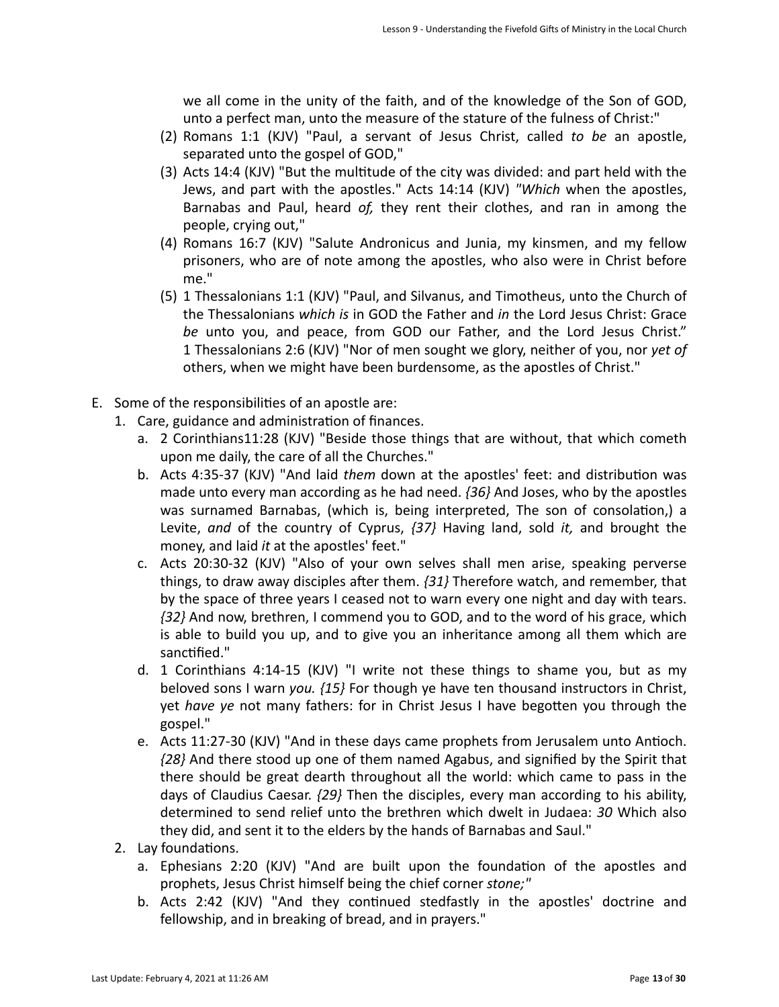we all come in the unity of the faith, and of the knowledge of the Son of GOD, unto a perfect man, unto the measure of the stature of the fulness of Christ:"

- (2) Romans 1:1 (KJV) "Paul, a servant of Jesus Christ, called *to be* an apostle, separated unto the gospel of GOD,"
- (3) Acts  $14:4$  (KJV) "But the multitude of the city was divided: and part held with the Jews, and part with the apostles." Acts 14:14 (KJV) "Which when the apostles, Barnabas and Paul, heard of, they rent their clothes, and ran in among the people, crying out,"
- (4) Romans 16:7 (KJV) "Salute Andronicus and Junia, my kinsmen, and my fellow prisoners, who are of note among the apostles, who also were in Christ before me."
- (5) 1 Thessalonians 1:1 (KJV) "Paul, and Silvanus, and Timotheus, unto the Church of the Thessalonians which is in GOD the Father and in the Lord Jesus Christ: Grace be unto you, and peace, from GOD our Father, and the Lord Jesus Christ." 1 Thessalonians 2:6 (KJV) "Nor of men sought we glory, neither of you, nor yet of others, when we might have been burdensome, as the apostles of Christ."
- E. Some of the responsibilities of an apostle are:
	- 1. Care, guidance and administration of finances.
		- a. 2 Corinthians11:28 (KJV) "Beside those things that are without, that which cometh upon me daily, the care of all the Churches."
		- b. Acts 4:35-37 (KJV) "And laid *them* down at the apostles' feet: and distribution was made unto every man according as he had need.  $\{36\}$  And Joses, who by the apostles was surnamed Barnabas, (which is, being interpreted, The son of consolation,) a Levite, and of the country of Cyprus,  $\{37\}$  Having land, sold *it*, and brought the money, and laid *it* at the apostles' feet."
		- c. Acts 20:30-32 (KJV) "Also of your own selves shall men arise, speaking perverse things, to draw away disciples after them.  $\{31\}$  Therefore watch, and remember, that by the space of three years I ceased not to warn every one night and day with tears. *{32}* And now, brethren, I commend you to GOD, and to the word of his grace, which is able to build you up, and to give you an inheritance among all them which are sanctified."
		- d. 1 Corinthians 4:14-15 (KJV) "I write not these things to shame you, but as my beloved sons I warn *you.* {15} For though ye have ten thousand instructors in Christ, yet *have ye* not many fathers: for in Christ Jesus I have begotten you through the gospel."
		- e. Acts 11:27-30 (KJV) "And in these days came prophets from Jerusalem unto Antioch. *{28}* And there stood up one of them named Agabus, and signified by the Spirit that there should be great dearth throughout all the world: which came to pass in the days of Claudius Caesar.  $\{29\}$  Then the disciples, every man according to his ability, determined to send relief unto the brethren which dwelt in Judaea: 30 Which also they did, and sent it to the elders by the hands of Barnabas and Saul."
	- 2. Lay foundations.
		- a. Ephesians 2:20 (KJV) "And are built upon the foundation of the apostles and prophets, Jesus Christ himself being the chief corner *stone;"*
		- b. Acts 2:42 (KJV) "And they continued stedfastly in the apostles' doctrine and fellowship, and in breaking of bread, and in prayers."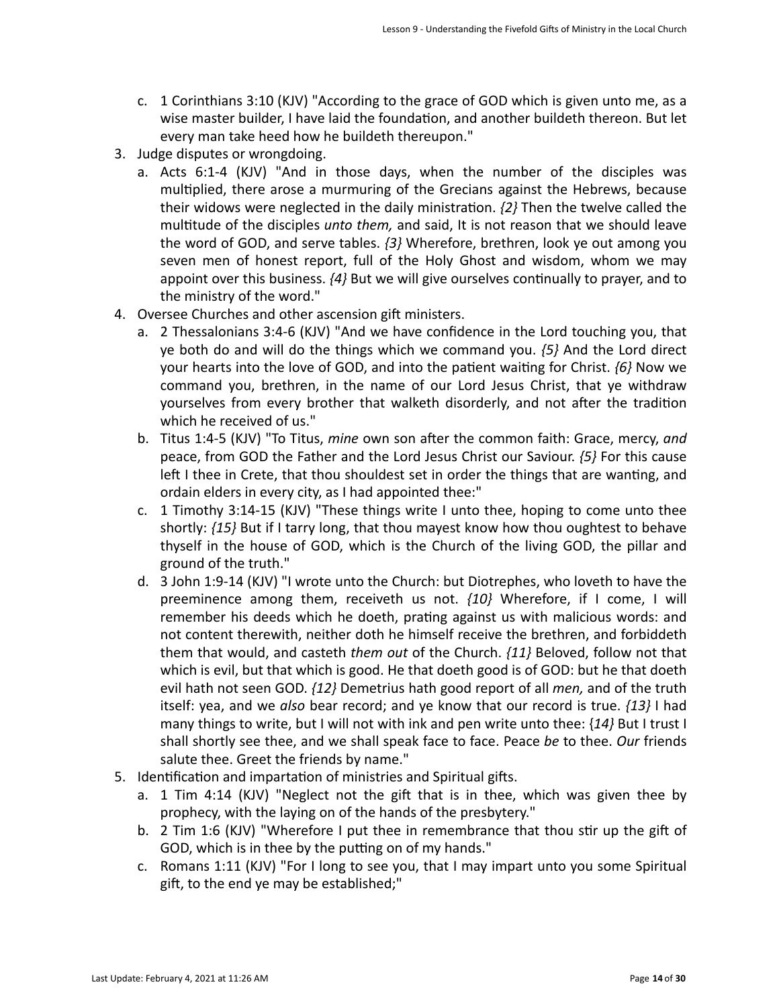- c. 1 Corinthians 3:10 (KJV) "According to the grace of GOD which is given unto me, as a wise master builder, I have laid the foundation, and another buildeth thereon. But let every man take heed how he buildeth thereupon."
- 3. Judge disputes or wrongdoing.
	- a. Acts 6:1-4 (KJV) "And in those days, when the number of the disciples was multiplied, there arose a murmuring of the Grecians against the Hebrews, because their widows were neglected in the daily ministration.  $\{2\}$  Then the twelve called the multitude of the disciples *unto them*, and said, It is not reason that we should leave the word of GOD, and serve tables.  $\{3\}$  Wherefore, brethren, look ye out among you seven men of honest report, full of the Holy Ghost and wisdom, whom we may appoint over this business.  $\{4\}$  But we will give ourselves continually to prayer, and to the ministry of the word."
- 4. Oversee Churches and other ascension gift ministers.
	- a. 2 Thessalonians 3:4-6 (KJV) "And we have confidence in the Lord touching you, that ye both do and will do the things which we command you.  $\{5\}$  And the Lord direct your hearts into the love of GOD, and into the patient waiting for Christ. *{6}* Now we command you, brethren, in the name of our Lord Jesus Christ, that ye withdraw yourselves from every brother that walketh disorderly, and not after the tradition which he received of us."
	- b. Titus 1:4-5 (KJV) "To Titus, *mine* own son after the common faith: Grace, mercy, and peace, from GOD the Father and the Lord Jesus Christ our Saviour.  $\{5\}$  For this cause left I thee in Crete, that thou shouldest set in order the things that are wanting, and ordain elders in every city, as I had appointed thee:"
	- c. 1 Timothy 3:14-15 (KJV) "These things write I unto thee, hoping to come unto thee shortly:  $\{15\}$  But if I tarry long, that thou mayest know how thou oughtest to behave thyself in the house of GOD, which is the Church of the living GOD, the pillar and ground of the truth."
	- d. 3 John 1:9-14 (KJV) "I wrote unto the Church: but Diotrephes, who loveth to have the preeminence among them, receiveth us not.  $\{10\}$  Wherefore, if I come, I will remember his deeds which he doeth, prating against us with malicious words: and not content therewith, neither doth he himself receive the brethren, and forbiddeth them that would, and casteth *them out* of the Church.  $\{11\}$  Beloved, follow not that which is evil, but that which is good. He that doeth good is of GOD: but he that doeth evil hath not seen GOD.  $\{12\}$  Demetrius hath good report of all *men*, and of the truth itself: yea, and we also bear record; and ye know that our record is true.  $\{13\}$  I had many things to write, but I will not with ink and pen write unto thee:  $\{14\}$  But I trust I shall shortly see thee, and we shall speak face to face. Peace be to thee. Our friends salute thee. Greet the friends by name."
- 5. Identification and impartation of ministries and Spiritual gifts.
	- a. 1 Tim 4:14 (KJV) "Neglect not the gift that is in thee, which was given thee by prophecy, with the laying on of the hands of the presbytery."
	- b. 2 Tim 1:6 (KJV) "Wherefore I put thee in remembrance that thou stir up the gift of GOD, which is in thee by the putting on of my hands."
	- c. Romans 1:11 (KJV) "For I long to see you, that I may impart unto you some Spiritual gift, to the end ye may be established;"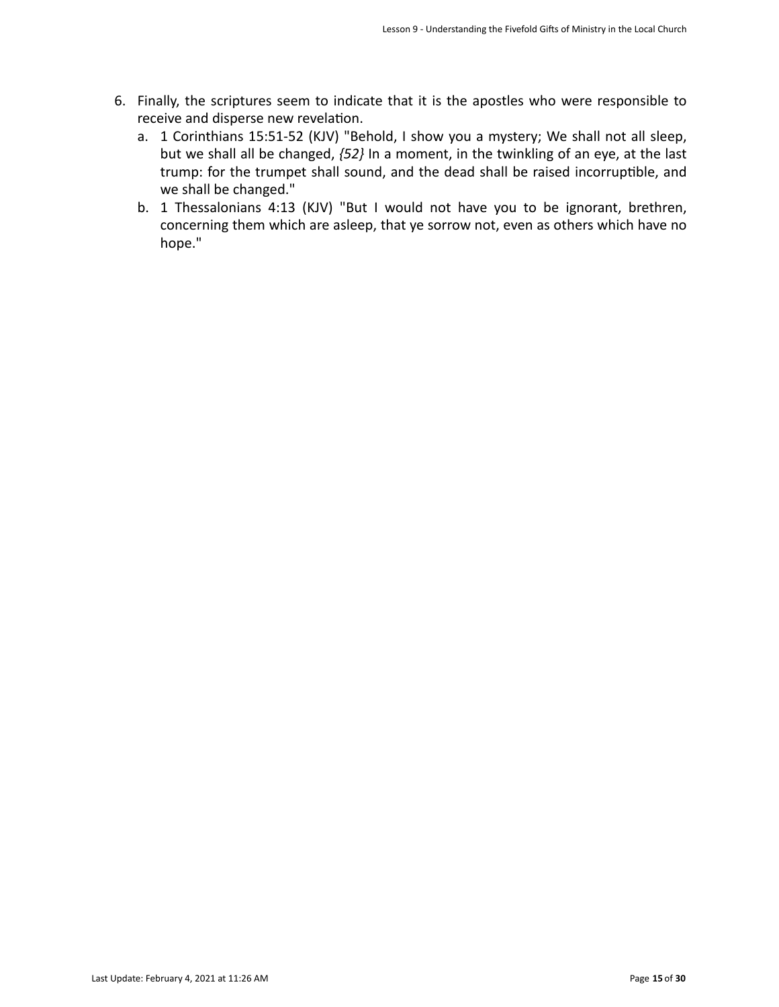- 6. Finally, the scriptures seem to indicate that it is the apostles who were responsible to receive and disperse new revelation.
	- a. 1 Corinthians 15:51-52 (KJV) "Behold, I show you a mystery; We shall not all sleep, but we shall all be changed,  $\{52\}$  In a moment, in the twinkling of an eye, at the last trump: for the trumpet shall sound, and the dead shall be raised incorruptible, and we shall be changed."
	- b. 1 Thessalonians 4:13 (KJV) "But I would not have you to be ignorant, brethren, concerning them which are asleep, that ye sorrow not, even as others which have no hope."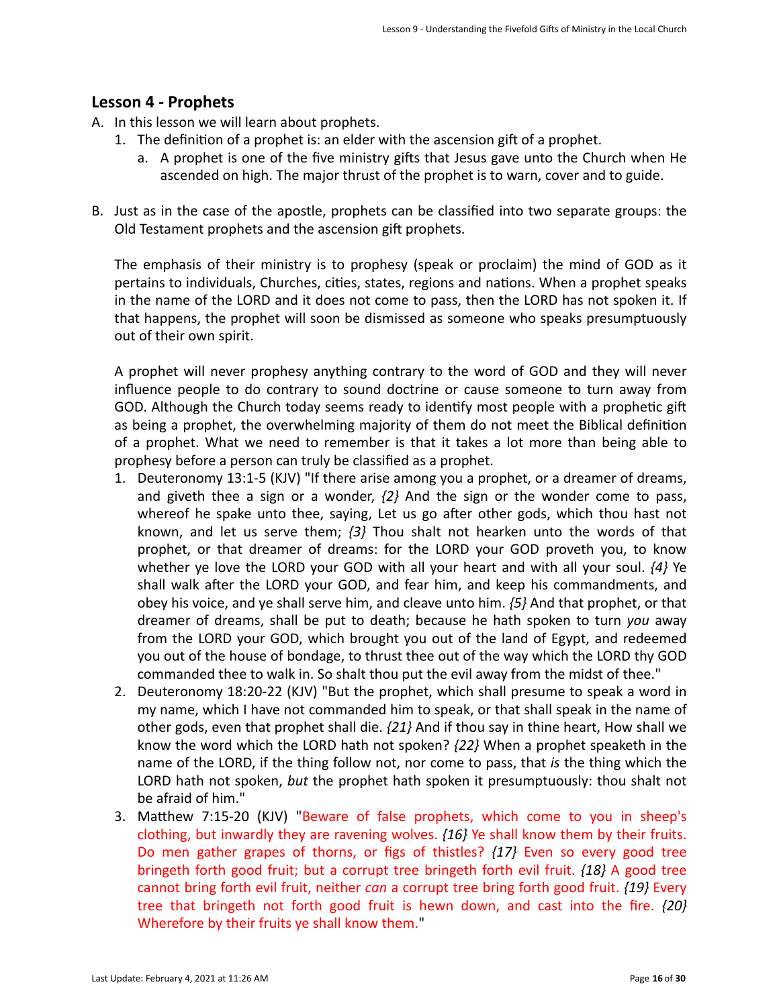## **Lesson 4 - Prophets**

- A. In this lesson we will learn about prophets.
	- 1. The definition of a prophet is: an elder with the ascension gift of a prophet.
		- a. A prophet is one of the five ministry gifts that Jesus gave unto the Church when He ascended on high. The major thrust of the prophet is to warn, cover and to guide.
- B. Just as in the case of the apostle, prophets can be classified into two separate groups: the Old Testament prophets and the ascension gift prophets.

The emphasis of their ministry is to prophesy (speak or proclaim) the mind of GOD as it pertains to individuals, Churches, cities, states, regions and nations. When a prophet speaks in the name of the LORD and it does not come to pass, then the LORD has not spoken it. If that happens, the prophet will soon be dismissed as someone who speaks presumptuously out of their own spirit.

A prophet will never prophesy anything contrary to the word of GOD and they will never influence people to do contrary to sound doctrine or cause someone to turn away from GOD. Although the Church today seems ready to identify most people with a prophetic gift as being a prophet, the overwhelming majority of them do not meet the Biblical definition of a prophet. What we need to remember is that it takes a lot more than being able to prophesy before a person can truly be classified as a prophet.

- 1. Deuteronomy 13:1-5 (KJV) "If there arise among you a prophet, or a dreamer of dreams, and giveth thee a sign or a wonder,  $\{2\}$  And the sign or the wonder come to pass, whereof he spake unto thee, saying, Let us go after other gods, which thou hast not known, and let us serve them;  $\{3\}$  Thou shalt not hearken unto the words of that prophet, or that dreamer of dreams: for the LORD your GOD proveth you, to know whether ye love the LORD your GOD with all your heart and with all your soul.  $\{4\}$  Ye shall walk after the LORD your GOD, and fear him, and keep his commandments, and obey his voice, and ye shall serve him, and cleave unto him.  $\{5\}$  And that prophet, or that dreamer of dreams, shall be put to death; because he hath spoken to turn *you* away from the LORD your GOD, which brought you out of the land of Egypt, and redeemed you out of the house of bondage, to thrust thee out of the way which the LORD thy GOD commanded thee to walk in. So shalt thou put the evil away from the midst of thee."
- 2. Deuteronomy 18:20-22 (KJV) "But the prophet, which shall presume to speak a word in my name, which I have not commanded him to speak, or that shall speak in the name of other gods, even that prophet shall die.  $\{21\}$  And if thou say in thine heart, How shall we know the word which the LORD hath not spoken?  $\{22\}$  When a prophet speaketh in the name of the LORD, if the thing follow not, nor come to pass, that *is* the thing which the LORD hath not spoken, but the prophet hath spoken it presumptuously: thou shalt not be afraid of him."
- 3. Matthew 7:15-20 (KJV) "Beware of false prophets, which come to you in sheep's clothing, but inwardly they are ravening wolves.  $\{16\}$  Ye shall know them by their fruits. Do men gather grapes of thorns, or figs of thistles?  $\{17\}$  Even so every good tree bringeth forth good fruit; but a corrupt tree bringeth forth evil fruit.  $\{18\}$  A good tree cannot bring forth evil fruit, neither *can* a corrupt tree bring forth good fruit. {19} Every tree that bringeth not forth good fruit is hewn down, and cast into the fire.  $\{20\}$ Wherefore by their fruits ye shall know them."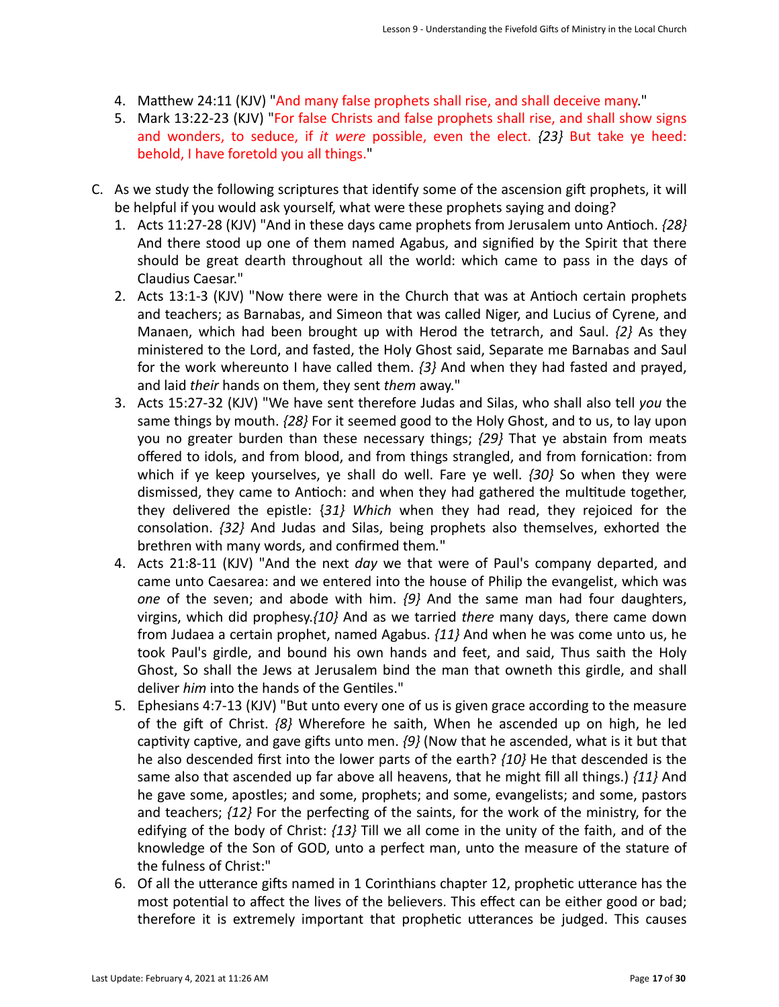- 4. Matthew 24:11 (KJV) "And many false prophets shall rise, and shall deceive many."
- 5. Mark 13:22-23 (KJV) "For false Christs and false prophets shall rise, and shall show signs and wonders, to seduce, if *it were* possible, even the elect. {23} But take ye heed: behold, I have foretold you all things."
- C. As we study the following scriptures that identify some of the ascension gift prophets, it will be helpful if you would ask yourself, what were these prophets saying and doing?
	- 1. Acts 11:27-28 (KJV) "And in these days came prophets from Jerusalem unto Antioch.  $\{28\}$ And there stood up one of them named Agabus, and signified by the Spirit that there should be great dearth throughout all the world: which came to pass in the days of Claudius Caesar."
	- 2. Acts 13:1-3 (KJV) "Now there were in the Church that was at Antioch certain prophets and teachers; as Barnabas, and Simeon that was called Niger, and Lucius of Cyrene, and Manaen, which had been brought up with Herod the tetrarch, and Saul.  $\{2\}$  As they ministered to the Lord, and fasted, the Holy Ghost said, Separate me Barnabas and Saul for the work whereunto I have called them.  $\{3\}$  And when they had fasted and prayed, and laid *their* hands on them, they sent them away."
	- 3. Acts 15:27-32 (KJV) "We have sent therefore Judas and Silas, who shall also tell you the same things by mouth.  $\{28\}$  For it seemed good to the Holy Ghost, and to us, to lay upon you no greater burden than these necessary things;  $\{29\}$  That ye abstain from meats offered to idols, and from blood, and from things strangled, and from fornication: from which if ye keep yourselves, ye shall do well. Fare ye well. {30} So when they were dismissed, they came to Antioch: and when they had gathered the multitude together, they delivered the epistle: {31} Which when they had read, they rejoiced for the consolation.  ${32}$  And Judas and Silas, being prophets also themselves, exhorted the brethren with many words, and confirmed them."
	- 4. Acts 21:8-11 (KJV) "And the next *day* we that were of Paul's company departed, and came unto Caesarea: and we entered into the house of Philip the evangelist, which was *one* of the seven; and abode with him.  $\{9\}$  And the same man had four daughters, virgins, which did prophesy.*{10}* And as we tarried *there* many days, there came down from Judaea a certain prophet, named Agabus.  $\{11\}$  And when he was come unto us, he took Paul's girdle, and bound his own hands and feet, and said, Thus saith the Holy Ghost, So shall the Jews at Jerusalem bind the man that owneth this girdle, and shall deliver *him* into the hands of the Gentiles."
	- 5. Ephesians 4:7-13 (KJV) "But unto every one of us is given grace according to the measure of the gift of Christ.  $\{8\}$  Wherefore he saith, When he ascended up on high, he led captivity captive, and gave gifts unto men.  $\{9\}$  (Now that he ascended, what is it but that he also descended first into the lower parts of the earth? *{10}* He that descended is the same also that ascended up far above all heavens, that he might fill all things.)  $\{11\}$  And he gave some, apostles; and some, prophets; and some, evangelists; and some, pastors and teachers;  $\{12\}$  For the perfecting of the saints, for the work of the ministry, for the edifying of the body of Christ: {13} Till we all come in the unity of the faith, and of the knowledge of the Son of GOD, unto a perfect man, unto the measure of the stature of the fulness of Christ:"
	- 6. Of all the utterance gifts named in 1 Corinthians chapter 12, prophetic utterance has the most potential to affect the lives of the believers. This effect can be either good or bad; therefore it is extremely important that prophetic utterances be judged. This causes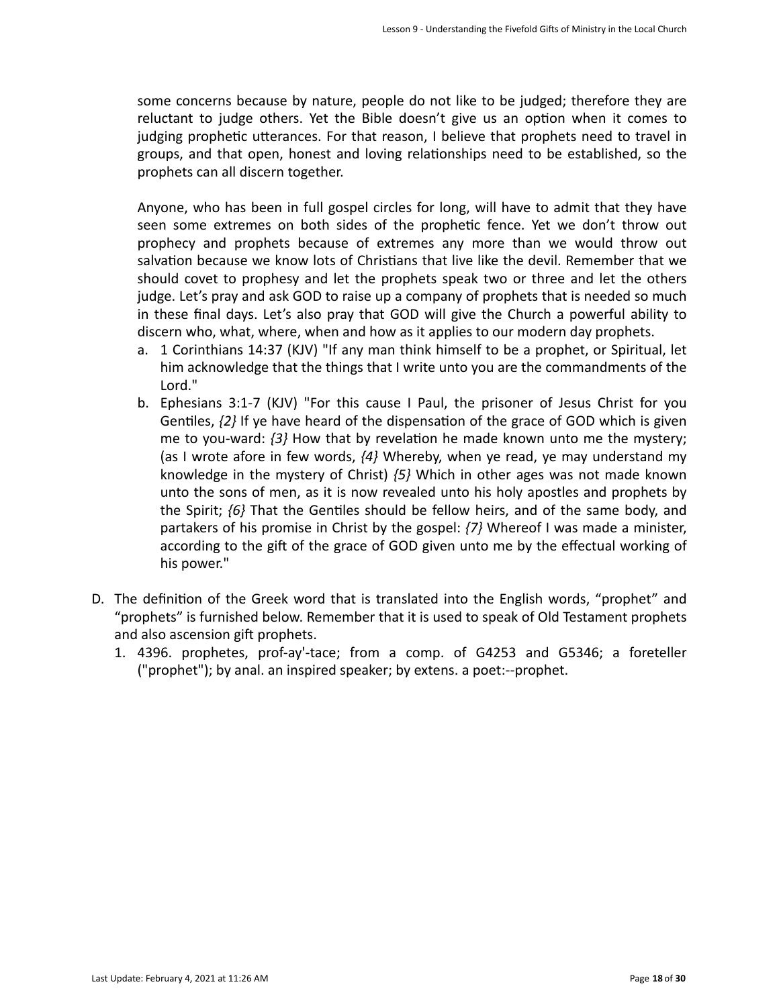some concerns because by nature, people do not like to be judged; therefore they are reluctant to judge others. Yet the Bible doesn't give us an option when it comes to judging prophetic utterances. For that reason, I believe that prophets need to travel in groups, and that open, honest and loving relationships need to be established, so the prophets can all discern together.

Anyone, who has been in full gospel circles for long, will have to admit that they have seen some extremes on both sides of the prophetic fence. Yet we don't throw out prophecy and prophets because of extremes any more than we would throw out salvation because we know lots of Christians that live like the devil. Remember that we should covet to prophesy and let the prophets speak two or three and let the others judge. Let's pray and ask GOD to raise up a company of prophets that is needed so much in these final days. Let's also pray that GOD will give the Church a powerful ability to discern who, what, where, when and how as it applies to our modern day prophets.

- a. 1 Corinthians 14:37 (KJV) "If any man think himself to be a prophet, or Spiritual, let him acknowledge that the things that I write unto you are the commandments of the Lord."
- b. Ephesians 3:1-7 (KJV) "For this cause I Paul, the prisoner of Jesus Christ for you Gentiles,  $\{2\}$  If ye have heard of the dispensation of the grace of GOD which is given me to you-ward:  $\{3\}$  How that by revelation he made known unto me the mystery; (as I wrote afore in few words,  $\{4\}$  Whereby, when ye read, ye may understand my knowledge in the mystery of Christ) {5} Which in other ages was not made known unto the sons of men, as it is now revealed unto his holy apostles and prophets by the Spirit;  $\{6\}$  That the Gentiles should be fellow heirs, and of the same body, and partakers of his promise in Christ by the gospel:  $\{7\}$  Whereof I was made a minister, according to the gift of the grace of GOD given unto me by the effectual working of his power."
- D. The definition of the Greek word that is translated into the English words, "prophet" and "prophets" is furnished below. Remember that it is used to speak of Old Testament prophets and also ascension gift prophets.
	- 1. 4396. prophetes, prof-ay'-tace; from a comp. of G4253 and G5346; a foreteller ("prophet"); by anal. an inspired speaker; by extens. a poet:--prophet.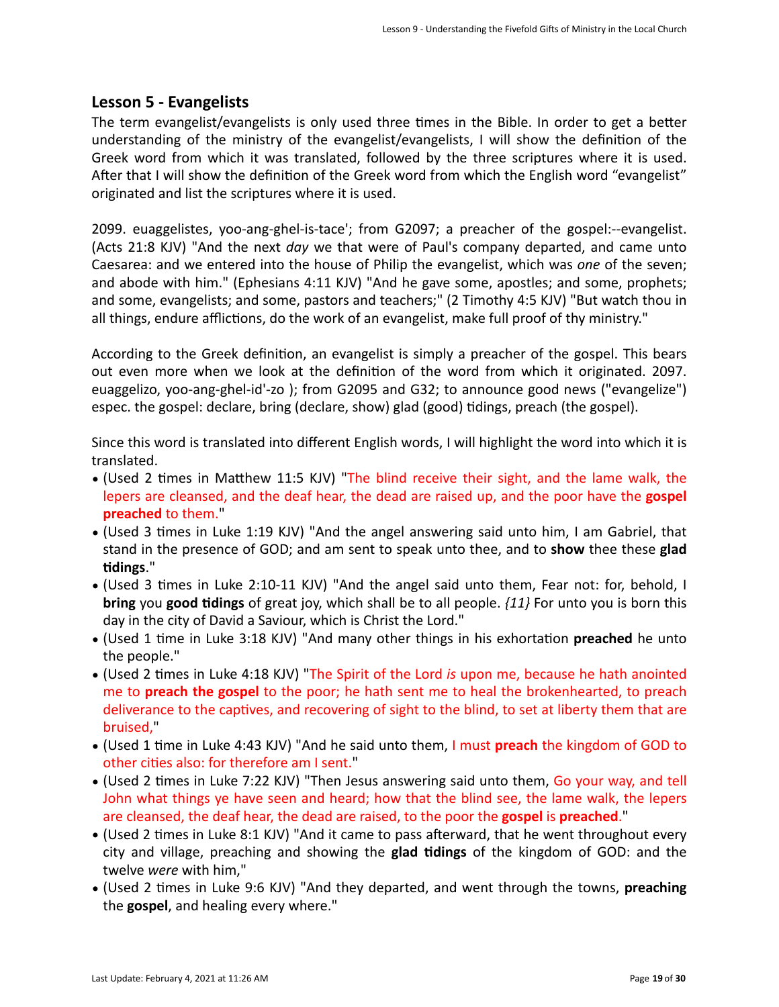## Lesson 5 - Evangelists

The term evangelist/evangelists is only used three times in the Bible. In order to get a better understanding of the ministry of the evangelist/evangelists, I will show the definition of the Greek word from which it was translated, followed by the three scriptures where it is used. After that I will show the definition of the Greek word from which the English word "evangelist" originated and list the scriptures where it is used.

2099. euaggelistes, yoo-ang-ghel-is-tace'; from G2097; a preacher of the gospel:--evangelist. (Acts 21:8 KJV) "And the next *day* we that were of Paul's company departed, and came unto Caesarea: and we entered into the house of Philip the evangelist, which was *one* of the seven; and abode with him." (Ephesians  $4:11 \text{ KJV}$ ) "And he gave some, apostles; and some, prophets; and some, evangelists; and some, pastors and teachers;" (2 Timothy 4:5 KJV) "But watch thou in all things, endure afflictions, do the work of an evangelist, make full proof of thy ministry."

According to the Greek definition, an evangelist is simply a preacher of the gospel. This bears out even more when we look at the definition of the word from which it originated. 2097. euaggelizo, yoo-ang-ghel-id'-zo ); from G2095 and G32; to announce good news ("evangelize") espec. the gospel: declare, bring (declare, show) glad (good) tidings, preach (the gospel).

Since this word is translated into different English words, I will highlight the word into which it is translated. 

- (Used 2 times in Matthew 11:5 KJV) "The blind receive their sight, and the lame walk, the lepers are cleansed, and the deaf hear, the dead are raised up, and the poor have the gospel **preached** to them.
- (Used 3 times in Luke 1:19 KJV) "And the angel answering said unto him, I am Gabriel, that stand in the presence of GOD; and am sent to speak unto thee, and to **show** thee these **glad Gdings**."
- (Used 3 times in Luke 2:10-11 KJV) "And the angel said unto them, Fear not: for, behold, I **bring** you **good tidings** of great joy, which shall be to all people.  $\{11\}$  For unto you is born this day in the city of David a Saviour, which is Christ the Lord."
- (Used 1 time in Luke 3:18 KJV) "And many other things in his exhortation preached he unto the people."
- (Used 2 times in Luke 4:18 KJV) "The Spirit of the Lord *is* upon me, because he hath anointed me to **preach the gospel** to the poor; he hath sent me to heal the brokenhearted, to preach deliverance to the captives, and recovering of sight to the blind, to set at liberty them that are bruised,
- (Used 1 time in Luke 4:43 KJV) "And he said unto them, I must **preach** the kingdom of GOD to other cities also: for therefore am I sent."
- (Used 2 times in Luke 7:22 KJV) "Then Jesus answering said unto them, Go your way, and tell John what things ye have seen and heard; how that the blind see, the lame walk, the lepers are cleansed, the deaf hear, the dead are raised, to the poor the **gospel** is **preached**."
- (Used 2 times in Luke 8:1 KJV) "And it came to pass afterward, that he went throughout every city and village, preaching and showing the **glad tidings** of the kingdom of GOD: and the twelve *were* with him,"
- (Used 2 times in Luke 9:6 KJV) "And they departed, and went through the towns, preaching the **gospel**, and healing every where."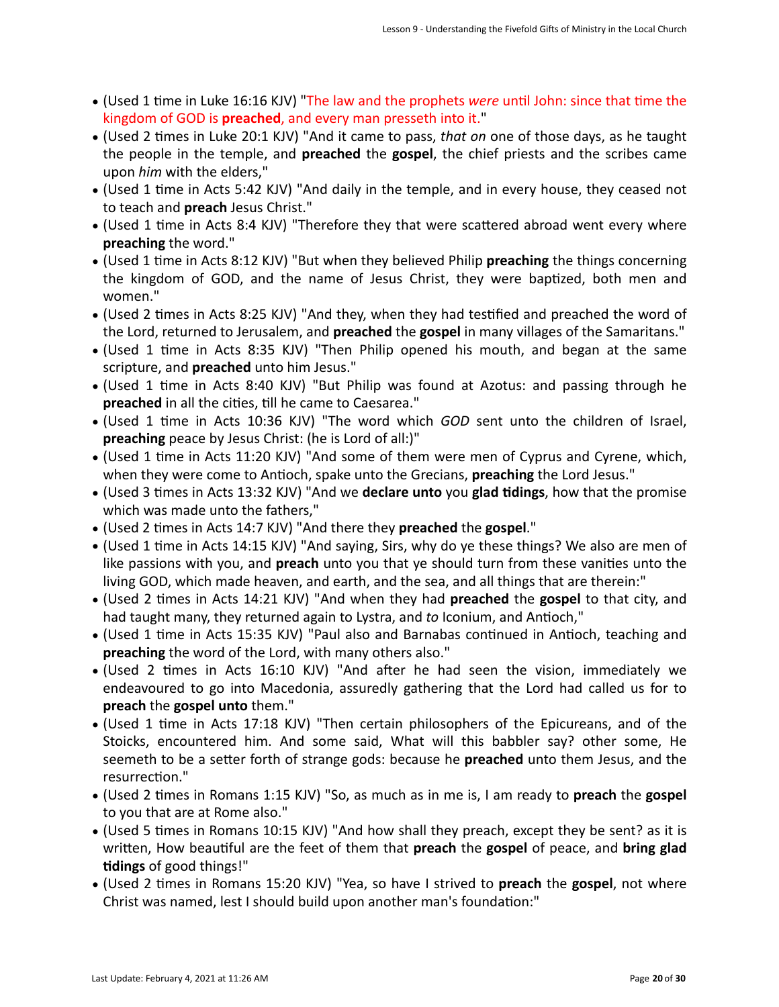- (Used 1 time in Luke 16:16 KJV) "The law and the prophets were until John: since that time the kingdom of GOD is **preached**, and every man presseth into it."
- (Used 2 times in Luke 20:1 KJV) "And it came to pass, *that on* one of those days, as he taught the people in the temple, and **preached** the **gospel**, the chief priests and the scribes came upon *him* with the elders,"
- (Used 1 time in Acts 5:42 KJV) "And daily in the temple, and in every house, they ceased not to teach and preach Jesus Christ."
- (Used 1 time in Acts 8:4 KJV) "Therefore they that were scattered abroad went every where **preaching** the word."
- (Used 1 time in Acts 8:12 KJV) "But when they believed Philip **preaching** the things concerning the kingdom of GOD, and the name of Jesus Christ, they were baptized, both men and women."
- (Used 2 times in Acts 8:25 KJV) "And they, when they had testified and preached the word of the Lord, returned to Jerusalem, and **preached** the gospel in many villages of the Samaritans."
- (Used 1 time in Acts 8:35 KJV) "Then Philip opened his mouth, and began at the same scripture, and **preached** unto him Jesus."
- (Used 1 time in Acts 8:40 KJV) "But Philip was found at Azotus: and passing through he **preached** in all the cities, till he came to Caesarea."
- (Used 1 time in Acts 10:36 KJV) "The word which *GOD* sent unto the children of Israel, **preaching** peace by Jesus Christ: (he is Lord of all:)"
- (Used 1 time in Acts 11:20 KJV) "And some of them were men of Cyprus and Cyrene, which, when they were come to Antioch, spake unto the Grecians, **preaching** the Lord Jesus."
- (Used 3 times in Acts 13:32 KJV) "And we declare unto you glad tidings, how that the promise which was made unto the fathers,"
- (Used 2 times in Acts 14:7 KJV) "And there they **preached** the gospel."
- (Used 1 time in Acts 14:15 KJV) "And saying, Sirs, why do ye these things? We also are men of like passions with you, and **preach** unto you that ye should turn from these vanities unto the living GOD, which made heaven, and earth, and the sea, and all things that are therein:"
- (Used 2 times in Acts 14:21 KJV) "And when they had **preached** the **gospel** to that city, and had taught many, they returned again to Lystra, and to Iconium, and Antioch,"
- (Used 1 time in Acts 15:35 KJV) "Paul also and Barnabas continued in Antioch, teaching and **preaching** the word of the Lord, with many others also."
- (Used 2 times in Acts 16:10 KJV) "And after he had seen the vision, immediately we endeavoured to go into Macedonia, assuredly gathering that the Lord had called us for to **preach** the gospel unto them."
- (Used 1 time in Acts 17:18 KJV) "Then certain philosophers of the Epicureans, and of the Stoicks, encountered him. And some said, What will this babbler say? other some, He seemeth to be a setter forth of strange gods: because he **preached** unto them Jesus, and the resurrection."
- (Used 2 times in Romans 1:15 KJV) "So, as much as in me is, I am ready to preach the gospel to you that are at Rome also."
- (Used 5 times in Romans 10:15 KJV) "And how shall they preach, except they be sent? as it is written, How beautiful are the feet of them that **preach** the **gospel** of peace, and **bring glad tidings** of good things!"
- (Used 2 times in Romans 15:20 KJV) "Yea, so have I strived to **preach** the **gospel**, not where Christ was named, lest I should build upon another man's foundation:"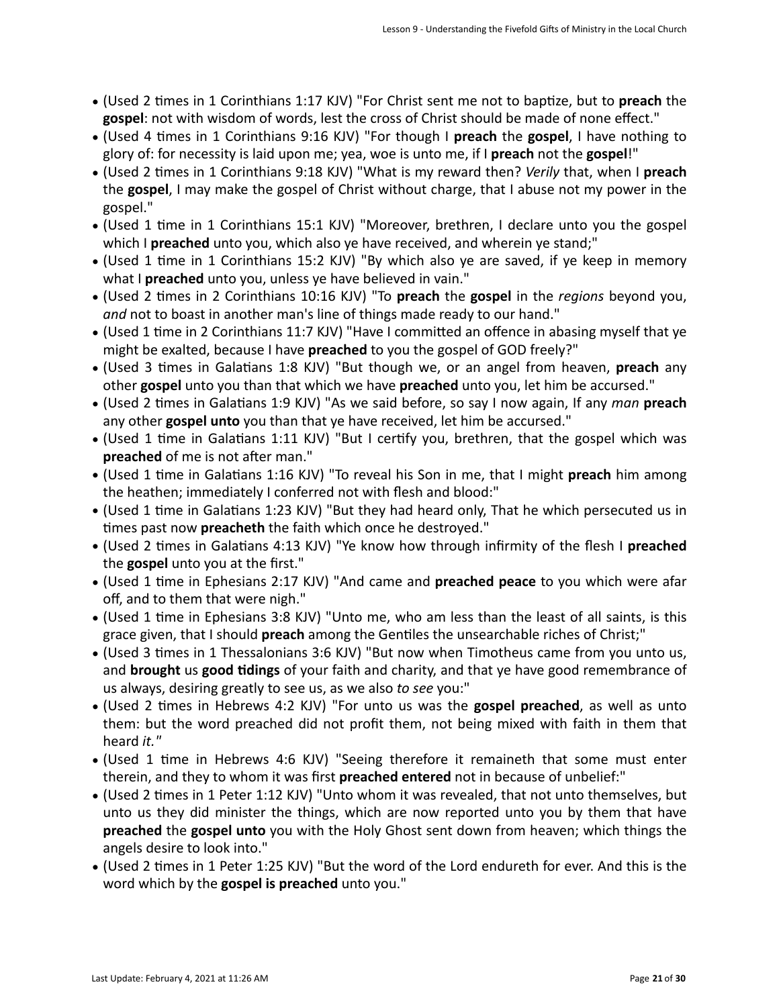- (Used 2 times in 1 Corinthians 1:17 KJV) "For Christ sent me not to baptize, but to preach the gospel: not with wisdom of words, lest the cross of Christ should be made of none effect."
- (Used 4 times in 1 Corinthians 9:16 KJV) "For though I **preach** the **gospel**, I have nothing to glory of: for necessity is laid upon me; yea, woe is unto me, if I **preach** not the **gospel**!"
- (Used 2 times in 1 Corinthians 9:18 KJV) "What is my reward then? *Verily* that, when I **preach** the **gospel**, I may make the gospel of Christ without charge, that I abuse not my power in the gospel."
- (Used 1 time in 1 Corinthians 15:1 KJV) "Moreover, brethren, I declare unto you the gospel which I **preached** unto you, which also ye have received, and wherein ye stand;"
- (Used 1 time in 1 Corinthians 15:2 KJV) "By which also ye are saved, if ye keep in memory what I **preached** unto you, unless ye have believed in vain."
- (Used 2 times in 2 Corinthians 10:16 KJV) "To **preach** the gospel in the *regions* beyond you, and not to boast in another man's line of things made ready to our hand."
- (Used 1 time in 2 Corinthians 11:7 KJV) "Have I committed an offence in abasing myself that ye might be exalted, because I have **preached** to you the gospel of GOD freely?"
- (Used 3 times in Galatians 1:8 KJV) "But though we, or an angel from heaven, preach any other **gospel** unto you than that which we have **preached** unto you, let him be accursed."
- (Used 2 times in Galatians 1:9 KJV) "As we said before, so say I now again, If any *man* preach any other **gospel unto** you than that ye have received, let him be accursed."
- (Used 1 time in Galatians 1:11 KJV) "But I certify you, brethren, that the gospel which was **preached** of me is not after man."
- (Used 1 time in Galatians 1:16 KJV) "To reveal his Son in me, that I might **preach** him among the heathen; immediately I conferred not with flesh and blood:"
- (Used 1 time in Galatians 1:23 KJV) "But they had heard only, That he which persecuted us in times past now **preacheth** the faith which once he destroyed."
- (Used 2 times in Galatians 4:13 KJV) "Ye know how through infirmity of the flesh I preached the **gospel** unto you at the first."
- (Used 1 time in Ephesians 2:17 KJV) "And came and **preached peace** to you which were afar off, and to them that were nigh."
- (Used 1 time in Ephesians 3:8 KJV) "Unto me, who am less than the least of all saints, is this grace given, that I should preach among the Gentiles the unsearchable riches of Christ;"
- (Used 3 times in 1 Thessalonians 3:6 KJV) "But now when Timotheus came from you unto us, and **brought** us good tidings of your faith and charity, and that ye have good remembrance of us always, desiring greatly to see us, as we also to see you:"
- (Used 2 times in Hebrews 4:2 KJV) "For unto us was the gospel preached, as well as unto them: but the word preached did not profit them, not being mixed with faith in them that heard *it."*
- (Used 1 time in Hebrews 4:6 KJV) "Seeing therefore it remaineth that some must enter therein, and they to whom it was first **preached entered** not in because of unbelief:"
- (Used 2 times in 1 Peter 1:12 KJV) "Unto whom it was revealed, that not unto themselves, but unto us they did minister the things, which are now reported unto you by them that have **preached** the **gospel unto** you with the Holy Ghost sent down from heaven; which things the angels desire to look into."
- (Used 2 times in 1 Peter 1:25 KJV) "But the word of the Lord endureth for ever. And this is the word which by the **gospel is preached** unto you."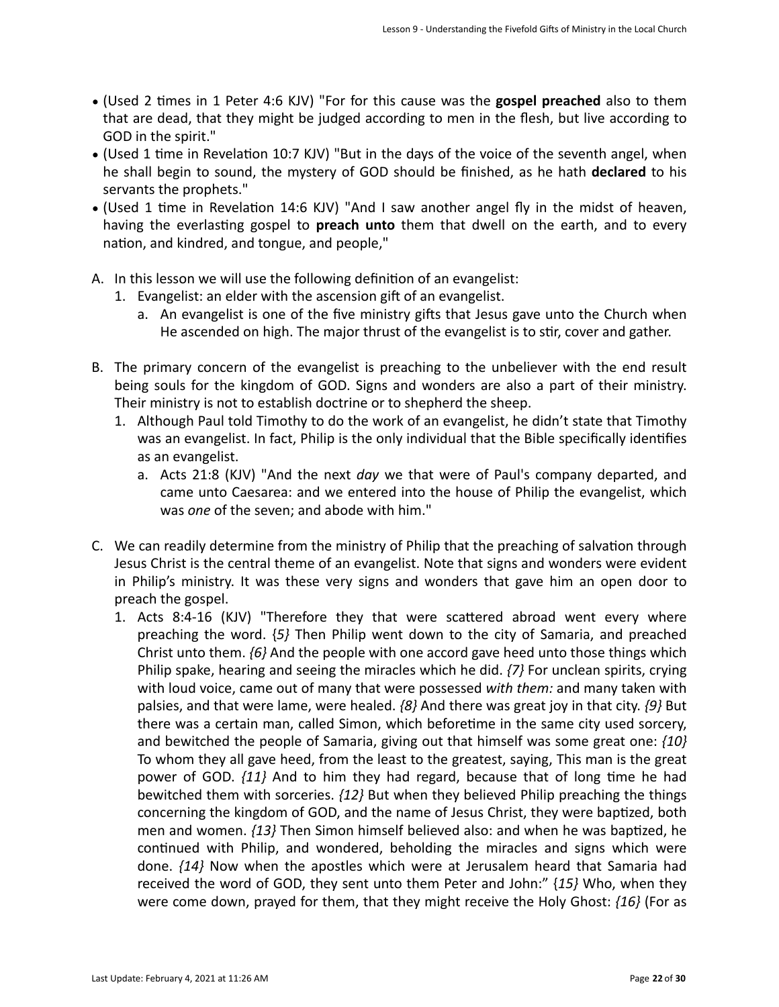- (Used 2 times in 1 Peter 4:6 KJV) "For for this cause was the **gospel preached** also to them that are dead, that they might be judged according to men in the flesh, but live according to GOD in the spirit."
- (Used 1 time in Revelation 10:7 KJV) "But in the days of the voice of the seventh angel, when he shall begin to sound, the mystery of GOD should be finished, as he hath **declared** to his servants the prophets."
- (Used 1 time in Revelation 14:6 KJV) "And I saw another angel fly in the midst of heaven, having the everlasting gospel to **preach unto** them that dwell on the earth, and to every nation, and kindred, and tongue, and people,"
- A. In this lesson we will use the following definition of an evangelist:
	- 1. Evangelist: an elder with the ascension gift of an evangelist.
		- a. An evangelist is one of the five ministry gifts that Jesus gave unto the Church when He ascended on high. The major thrust of the evangelist is to stir, cover and gather.
- B. The primary concern of the evangelist is preaching to the unbeliever with the end result being souls for the kingdom of GOD. Signs and wonders are also a part of their ministry. Their ministry is not to establish doctrine or to shepherd the sheep.
	- 1. Although Paul told Timothy to do the work of an evangelist, he didn't state that Timothy was an evangelist. In fact, Philip is the only individual that the Bible specifically identifies as an evangelist.
		- a. Acts 21:8 (KJV) "And the next *day* we that were of Paul's company departed, and came unto Caesarea: and we entered into the house of Philip the evangelist, which was one of the seven; and abode with him."
- C. We can readily determine from the ministry of Philip that the preaching of salvation through Jesus Christ is the central theme of an evangelist. Note that signs and wonders were evident in Philip's ministry. It was these very signs and wonders that gave him an open door to preach the gospel.
	- 1. Acts 8:4-16 (KJV) "Therefore they that were scattered abroad went every where preaching the word.  $\{5\}$  Then Philip went down to the city of Samaria, and preached Christ unto them.  $\{6\}$  And the people with one accord gave heed unto those things which Philip spake, hearing and seeing the miracles which he did.  $\{7\}$  For unclean spirits, crying with loud voice, came out of many that were possessed with them: and many taken with palsies, and that were lame, were healed.  $\{8\}$  And there was great joy in that city.  $\{9\}$  But there was a certain man, called Simon, which beforetime in the same city used sorcery, and bewitched the people of Samaria, giving out that himself was some great one:  $\{10\}$ To whom they all gave heed, from the least to the greatest, saying, This man is the great power of GOD.  $\{11\}$  And to him they had regard, because that of long time he had bewitched them with sorceries.  $\{12\}$  But when they believed Philip preaching the things concerning the kingdom of GOD, and the name of Jesus Christ, they were baptized, both men and women.  $\{13\}$  Then Simon himself believed also: and when he was baptized, he continued with Philip, and wondered, beholding the miracles and signs which were done.  $\{14\}$  Now when the apostles which were at Jerusalem heard that Samaria had received the word of GOD, they sent unto them Peter and John:" {15} Who, when they were come down, prayed for them, that they might receive the Holy Ghost: {16} (For as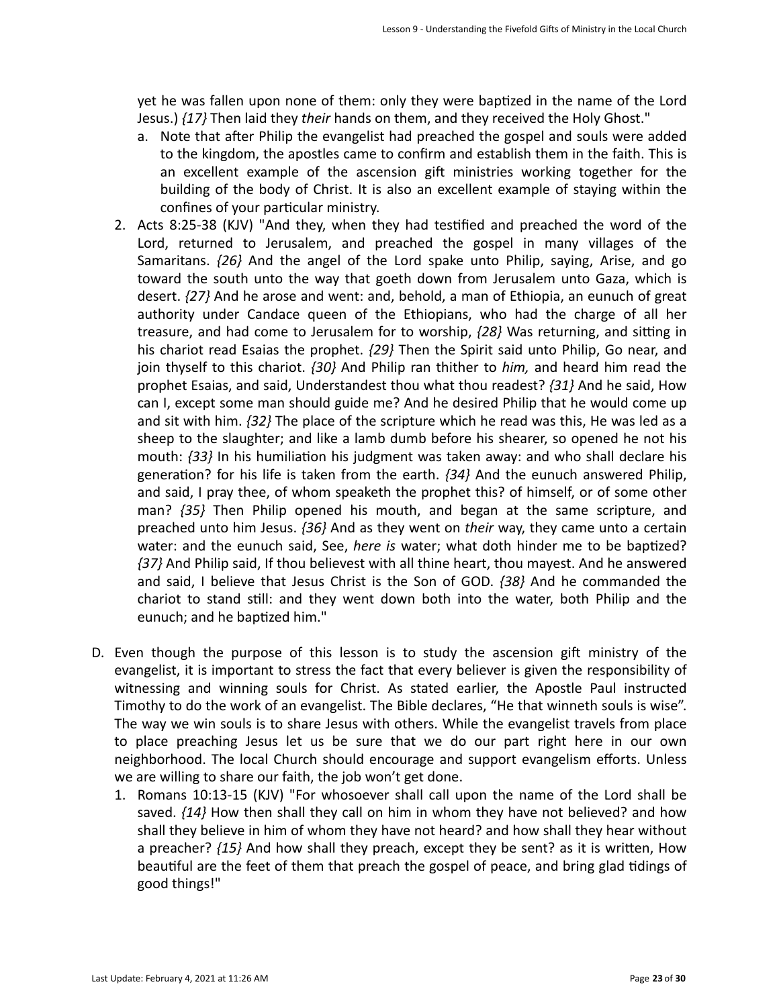yet he was fallen upon none of them: only they were baptized in the name of the Lord Jesus.)  $\{17\}$  Then laid they *their* hands on them, and they received the Holy Ghost."

- a. Note that after Philip the evangelist had preached the gospel and souls were added to the kingdom, the apostles came to confirm and establish them in the faith. This is an excellent example of the ascension gift ministries working together for the building of the body of Christ. It is also an excellent example of staying within the confines of your particular ministry.
- 2. Acts 8:25-38 (KJV) "And they, when they had testified and preached the word of the Lord, returned to Jerusalem, and preached the gospel in many villages of the Samaritans.  $\{26\}$  And the angel of the Lord spake unto Philip, saying, Arise, and go toward the south unto the way that goeth down from Jerusalem unto Gaza, which is desert.  $\{27\}$  And he arose and went: and, behold, a man of Ethiopia, an eunuch of great authority under Candace queen of the Ethiopians, who had the charge of all her treasure, and had come to Jerusalem for to worship,  $\{28\}$  Was returning, and sitting in his chariot read Esaias the prophet.  $\{29\}$  Then the Spirit said unto Philip, Go near, and join thyself to this chariot. *{30}* And Philip ran thither to *him*, and heard him read the prophet Esaias, and said, Understandest thou what thou readest?  $\{31\}$  And he said, How can I, except some man should guide me? And he desired Philip that he would come up and sit with him.  $\{32\}$  The place of the scripture which he read was this, He was led as a sheep to the slaughter; and like a lamb dumb before his shearer, so opened he not his mouth:  $\{33\}$  In his humiliation his judgment was taken away: and who shall declare his generation? for his life is taken from the earth.  $\{34\}$  And the eunuch answered Philip, and said, I pray thee, of whom speaketh the prophet this? of himself, or of some other man? {35} Then Philip opened his mouth, and began at the same scripture, and preached unto him Jesus.  $\{36\}$  And as they went on *their* way, they came unto a certain water: and the eunuch said, See, *here is* water; what doth hinder me to be baptized? *{37}* And Philip said, If thou believest with all thine heart, thou mayest. And he answered and said, I believe that Jesus Christ is the Son of GOD.  $\{38\}$  And he commanded the chariot to stand still: and they went down both into the water, both Philip and the eunuch; and he baptized him."
- D. Even though the purpose of this lesson is to study the ascension gift ministry of the evangelist, it is important to stress the fact that every believer is given the responsibility of witnessing and winning souls for Christ. As stated earlier, the Apostle Paul instructed Timothy to do the work of an evangelist. The Bible declares, "He that winneth souls is wise". The way we win souls is to share Jesus with others. While the evangelist travels from place to place preaching Jesus let us be sure that we do our part right here in our own neighborhood. The local Church should encourage and support evangelism efforts. Unless we are willing to share our faith, the job won't get done.
	- 1. Romans 10:13-15 (KJV) "For whosoever shall call upon the name of the Lord shall be saved.  $\{14\}$  How then shall they call on him in whom they have not believed? and how shall they believe in him of whom they have not heard? and how shall they hear without a preacher?  $\{15\}$  And how shall they preach, except they be sent? as it is written, How beautiful are the feet of them that preach the gospel of peace, and bring glad tidings of good things!"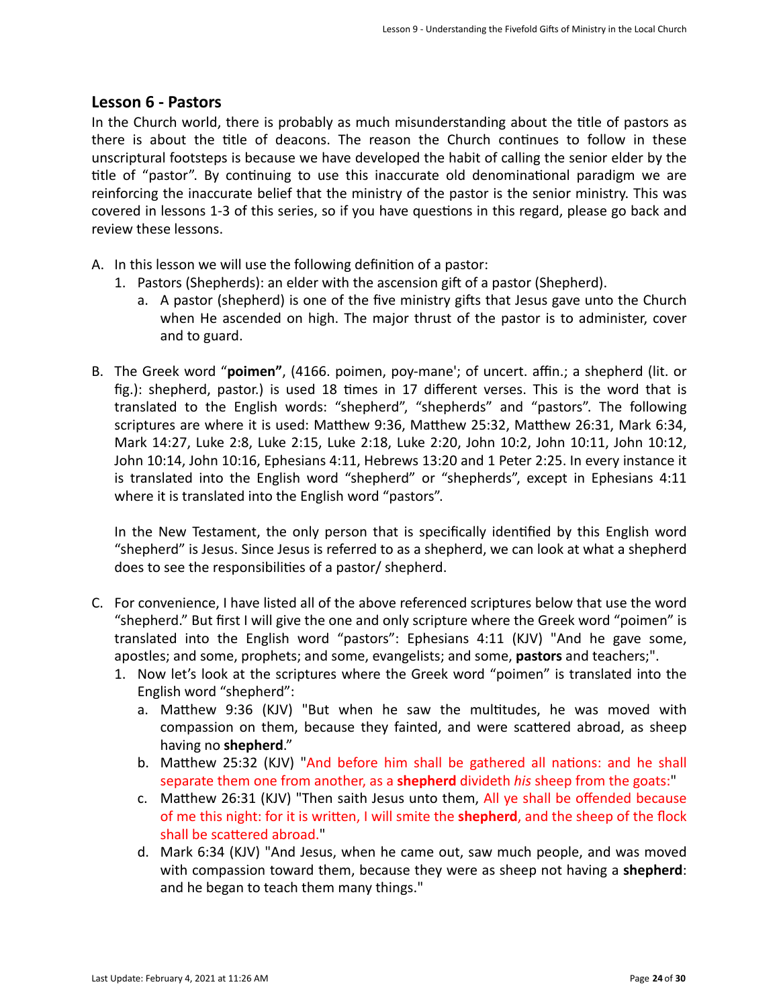#### **Lesson 6 - Pastors**

In the Church world, there is probably as much misunderstanding about the title of pastors as there is about the title of deacons. The reason the Church continues to follow in these unscriptural footsteps is because we have developed the habit of calling the senior elder by the title of "pastor". By continuing to use this inaccurate old denominational paradigm we are reinforcing the inaccurate belief that the ministry of the pastor is the senior ministry. This was covered in lessons 1-3 of this series, so if you have questions in this regard, please go back and review these lessons.

- A. In this lesson we will use the following definition of a pastor:
	- 1. Pastors (Shepherds): an elder with the ascension gift of a pastor (Shepherd).
		- a. A pastor (shepherd) is one of the five ministry gifts that Jesus gave unto the Church when He ascended on high. The major thrust of the pastor is to administer, cover and to guard.
- B. The Greek word "**poimen"**, (4166. poimen, poy-mane'; of uncert. affin.; a shepherd (lit. or fig.): shepherd, pastor.) is used 18 times in 17 different verses. This is the word that is translated to the English words: "shepherd", "shepherds" and "pastors". The following scriptures are where it is used: Matthew 9:36, Matthew 25:32, Matthew 26:31, Mark 6:34, Mark 14:27, Luke 2:8, Luke 2:15, Luke 2:18, Luke 2:20, John 10:2, John 10:11, John 10:12, John 10:14, John 10:16, Ephesians 4:11, Hebrews 13:20 and 1 Peter 2:25. In every instance it is translated into the English word "shepherd" or "shepherds", except in Ephesians 4:11 where it is translated into the English word "pastors".

In the New Testament, the only person that is specifically identified by this English word "shepherd" is Jesus. Since Jesus is referred to as a shepherd, we can look at what a shepherd does to see the responsibilities of a pastor/ shepherd.

- C. For convenience, I have listed all of the above referenced scriptures below that use the word "shepherd." But first I will give the one and only scripture where the Greek word "poimen" is translated into the English word "pastors": Ephesians  $4:11$  (KJV) "And he gave some, apostles; and some, prophets; and some, evangelists; and some, **pastors** and teachers;".
	- 1. Now let's look at the scriptures where the Greek word "poimen" is translated into the English word "shepherd":
		- a. Matthew 9:36 (KJV) "But when he saw the multitudes, he was moved with compassion on them, because they fainted, and were scattered abroad, as sheep having no **shepherd**."
		- b. Matthew 25:32 (KJV) "And before him shall be gathered all nations: and he shall separate them one from another, as a **shepherd** divideth *his* sheep from the goats:"
		- c. Matthew 26:31 (KJV) "Then saith Jesus unto them, All ye shall be offended because of me this night: for it is written, I will smite the **shepherd**, and the sheep of the flock shall be scattered abroad.
		- d. Mark 6:34 (KJV) "And Jesus, when he came out, saw much people, and was moved with compassion toward them, because they were as sheep not having a **shepherd**: and he began to teach them many things."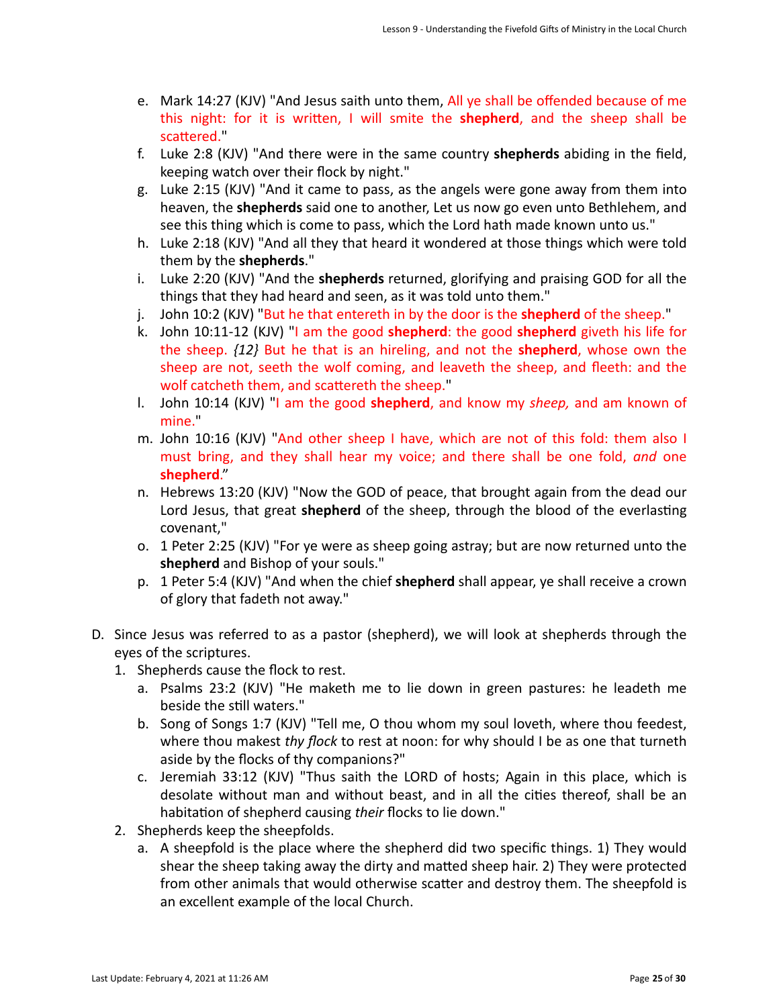- e. Mark 14:27 (KJV) "And Jesus saith unto them, All ye shall be offended because of me this night: for it is written, I will smite the **shepherd**, and the sheep shall be scattered."
- f. Luke 2:8 (KJV) "And there were in the same country shepherds abiding in the field, keeping watch over their flock by night."
- g. Luke 2:15 (KJV) "And it came to pass, as the angels were gone away from them into heaven, the **shepherds** said one to another, Let us now go even unto Bethlehem, and see this thing which is come to pass, which the Lord hath made known unto us."
- h. Luke 2:18 (KJV) "And all they that heard it wondered at those things which were told them by the **shepherds**."
- i. Luke 2:20 (KJV) "And the **shepherds** returned, glorifying and praising GOD for all the things that they had heard and seen, as it was told unto them."
- j. John 10:2 (KJV) "But he that entereth in by the door is the **shepherd** of the sheep."
- k. John 10:11-12 (KJV) "I am the good **shepherd**: the good **shepherd** giveth his life for the sheep.  $\{12\}$  But he that is an hireling, and not the **shepherd**, whose own the sheep are not, seeth the wolf coming, and leaveth the sheep, and fleeth: and the wolf catcheth them, and scattereth the sheep."
- l. John 10:14 (KJV) "I am the good **shepherd**, and know my *sheep*, and am known of mine."
- m. John 10:16 (KJV) "And other sheep I have, which are not of this fold: them also I must bring, and they shall hear my voice; and there shall be one fold, *and* one **shepherd**."
- n. Hebrews 13:20 (KJV) "Now the GOD of peace, that brought again from the dead our Lord Jesus, that great **shepherd** of the sheep, through the blood of the everlasting covenant,"
- o. 1 Peter 2:25 (KJV) "For ye were as sheep going astray; but are now returned unto the shepherd and Bishop of your souls."
- p. 1 Peter 5:4 (KJV) "And when the chief **shepherd** shall appear, ye shall receive a crown of glory that fadeth not away."
- D. Since Jesus was referred to as a pastor (shepherd), we will look at shepherds through the eyes of the scriptures.
	- 1. Shepherds cause the flock to rest.
		- a. Psalms 23:2 (KJV) "He maketh me to lie down in green pastures: he leadeth me beside the still waters."
		- b. Song of Songs 1:7 (KJV) "Tell me, O thou whom my soul loveth, where thou feedest, where thou makest *thy flock* to rest at noon: for why should I be as one that turneth aside by the flocks of thy companions?"
		- c. Jeremiah 33:12 (KJV) "Thus saith the LORD of hosts; Again in this place, which is desolate without man and without beast, and in all the cities thereof, shall be an habitation of shepherd causing *their* flocks to lie down."
	- 2. Shepherds keep the sheepfolds.
		- a. A sheepfold is the place where the shepherd did two specific things. 1) They would shear the sheep taking away the dirty and matted sheep hair. 2) They were protected from other animals that would otherwise scatter and destroy them. The sheepfold is an excellent example of the local Church.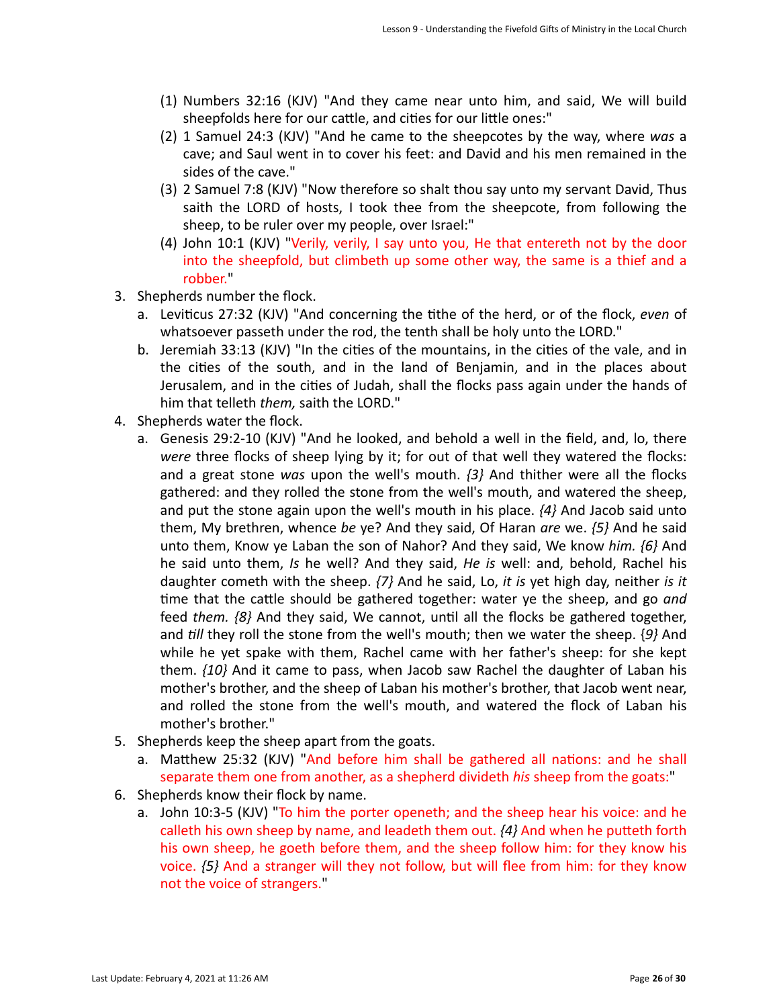- (1) Numbers 32:16 (KJV) "And they came near unto him, and said, We will build sheepfolds here for our cattle, and cities for our little ones:"
- (2) 1 Samuel 24:3 (KJV) "And he came to the sheepcotes by the way, where *was* a cave; and Saul went in to cover his feet: and David and his men remained in the sides of the cave."
- (3) 2 Samuel 7:8 (KJV) "Now therefore so shalt thou say unto my servant David, Thus saith the LORD of hosts, I took thee from the sheepcote, from following the sheep, to be ruler over my people, over Israel:"
- (4) John 10:1 (KJV) "Verily, verily, I say unto you, He that entereth not by the door into the sheepfold, but climbeth up some other way, the same is a thief and a robber."
- 3. Shepherds number the flock.
	- a. Leviticus 27:32 (KJV) "And concerning the tithe of the herd, or of the flock, *even* of whatsoever passeth under the rod, the tenth shall be holy unto the LORD."
	- b. Jeremiah 33:13 (KJV) "In the cities of the mountains, in the cities of the vale, and in the cities of the south, and in the land of Benjamin, and in the places about Jerusalem, and in the cities of Judah, shall the flocks pass again under the hands of him that telleth *them*, saith the LORD."
- 4. Shepherds water the flock.
	- a. Genesis 29:2-10 (KJV) "And he looked, and behold a well in the field, and, lo, there *were* three flocks of sheep lying by it; for out of that well they watered the flocks: and a great stone was upon the well's mouth.  $\{3\}$  And thither were all the flocks gathered: and they rolled the stone from the well's mouth, and watered the sheep, and put the stone again upon the well's mouth in his place.  $\{4\}$  And Jacob said unto them, My brethren, whence be ye? And they said, Of Haran are we.  $\{5\}$  And he said unto them, Know ye Laban the son of Nahor? And they said, We know him. {6} And he said unto them, *Is* he well? And they said, *He is* well: and, behold, Rachel his daughter cometh with the sheep.  $\{7\}$  And he said, Lo, *it is* yet high day, neither *is* it time that the cattle should be gathered together: water ye the sheep, and go *and* feed *them.*  $\{8\}$  And they said, We cannot, until all the flocks be gathered together, and *till* they roll the stone from the well's mouth; then we water the sheep. {9} And while he yet spake with them, Rachel came with her father's sheep: for she kept them. *{10}* And it came to pass, when Jacob saw Rachel the daughter of Laban his mother's brother, and the sheep of Laban his mother's brother, that Jacob went near, and rolled the stone from the well's mouth, and watered the flock of Laban his mother's brother."
- 5. Shepherds keep the sheep apart from the goats.
	- a. Matthew 25:32 (KJV) "And before him shall be gathered all nations: and he shall separate them one from another, as a shepherd divideth *his* sheep from the goats:"
- 6. Shepherds know their flock by name.
	- a. John 10:3-5 (KJV) "To him the porter openeth; and the sheep hear his voice: and he calleth his own sheep by name, and leadeth them out.  $\{4\}$  And when he putteth forth his own sheep, he goeth before them, and the sheep follow him: for they know his voice.  $\{5\}$  And a stranger will they not follow, but will flee from him: for they know not the voice of strangers."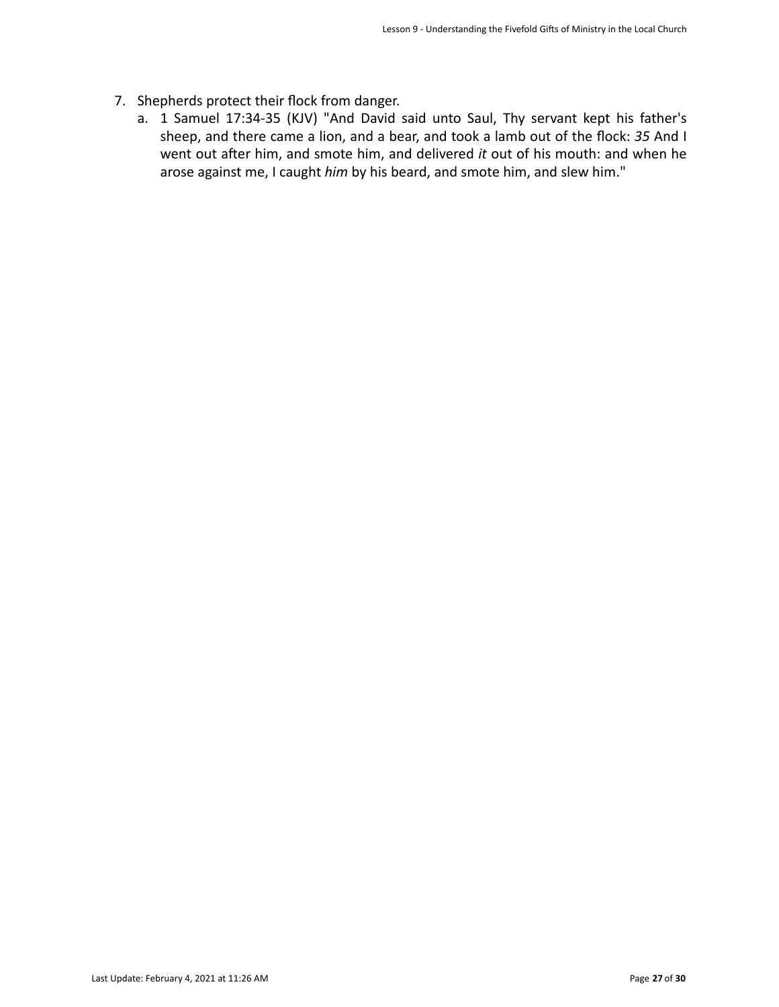- 7. Shepherds protect their flock from danger.
	- a. 1 Samuel 17:34-35 (KJV) "And David said unto Saul, Thy servant kept his father's sheep, and there came a lion, and a bear, and took a lamb out of the flock: 35 And I went out after him, and smote him, and delivered *it* out of his mouth: and when he arose against me, I caught *him* by his beard, and smote him, and slew him."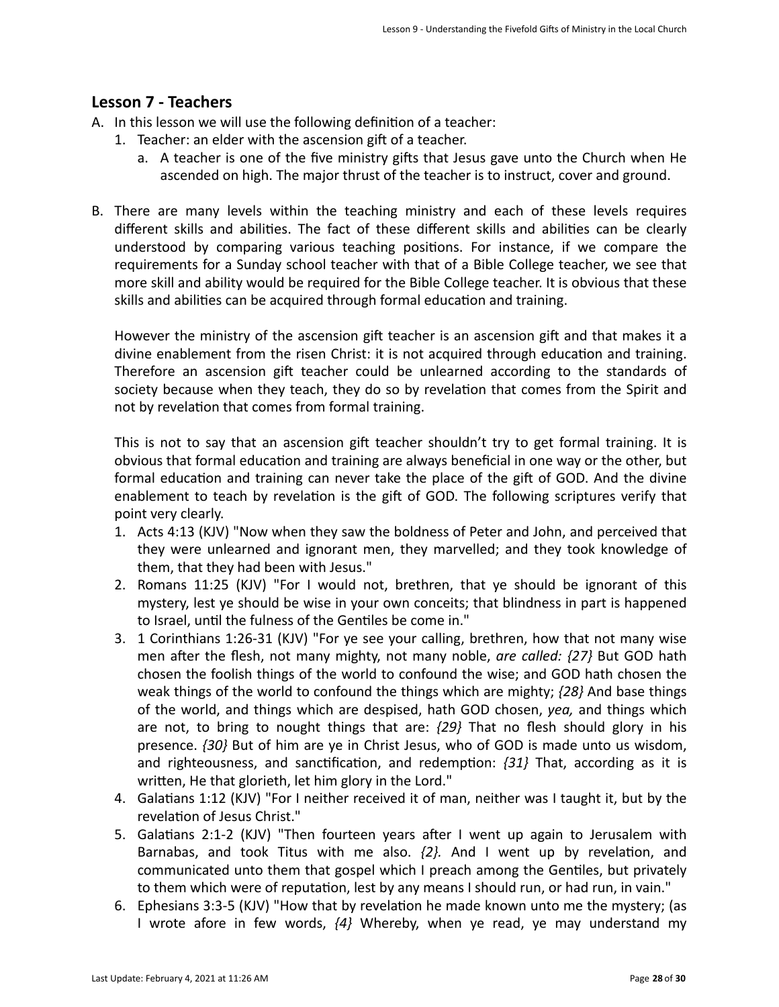## **Lesson 7 - Teachers**

- A. In this lesson we will use the following definition of a teacher:
	- 1. Teacher: an elder with the ascension gift of a teacher.
		- a. A teacher is one of the five ministry gifts that Jesus gave unto the Church when He ascended on high. The major thrust of the teacher is to instruct, cover and ground.
- B. There are many levels within the teaching ministry and each of these levels requires different skills and abilities. The fact of these different skills and abilities can be clearly understood by comparing various teaching positions. For instance, if we compare the requirements for a Sunday school teacher with that of a Bible College teacher, we see that more skill and ability would be required for the Bible College teacher. It is obvious that these skills and abilities can be acquired through formal education and training.

However the ministry of the ascension gift teacher is an ascension gift and that makes it a divine enablement from the risen Christ: it is not acquired through education and training. Therefore an ascension gift teacher could be unlearned according to the standards of society because when they teach, they do so by revelation that comes from the Spirit and not by revelation that comes from formal training.

This is not to say that an ascension gift teacher shouldn't try to get formal training. It is obvious that formal education and training are always beneficial in one way or the other, but formal education and training can never take the place of the gift of GOD. And the divine enablement to teach by revelation is the gift of GOD. The following scriptures verify that point very clearly.

- 1. Acts 4:13 (KJV) "Now when they saw the boldness of Peter and John, and perceived that they were unlearned and ignorant men, they marvelled; and they took knowledge of them, that they had been with Jesus."
- 2. Romans 11:25 (KJV) "For I would not, brethren, that ye should be ignorant of this mystery, lest ye should be wise in your own conceits; that blindness in part is happened to Israel, until the fulness of the Gentiles be come in."
- 3. 1 Corinthians 1:26-31 (KJV) "For ye see your calling, brethren, how that not many wise men after the flesh, not many mighty, not many noble, are called: {27} But GOD hath chosen the foolish things of the world to confound the wise; and GOD hath chosen the weak things of the world to confound the things which are mighty;  $\{28\}$  And base things of the world, and things which are despised, hath GOD chosen, *yea*, and things which are not, to bring to nought things that are:  $\{29\}$  That no flesh should glory in his presence. *{30}* But of him are ye in Christ Jesus, who of GOD is made unto us wisdom, and righteousness, and sanctification, and redemption:  $\{31\}$  That, according as it is written, He that glorieth, let him glory in the Lord."
- 4. Galatians 1:12 (KJV) "For I neither received it of man, neither was I taught it, but by the revelation of Jesus Christ."
- 5. Galatians  $2:1-2$  (KJV) "Then fourteen years after I went up again to Jerusalem with Barnabas, and took Titus with me also.  $\{2\}$ . And I went up by revelation, and communicated unto them that gospel which I preach among the Gentiles, but privately to them which were of reputation, lest by any means I should run, or had run, in vain."
- 6. Ephesians  $3:3-5$  (KJV) "How that by revelation he made known unto me the mystery; (as I wrote afore in few words,  $\{4\}$  Whereby, when ye read, ye may understand my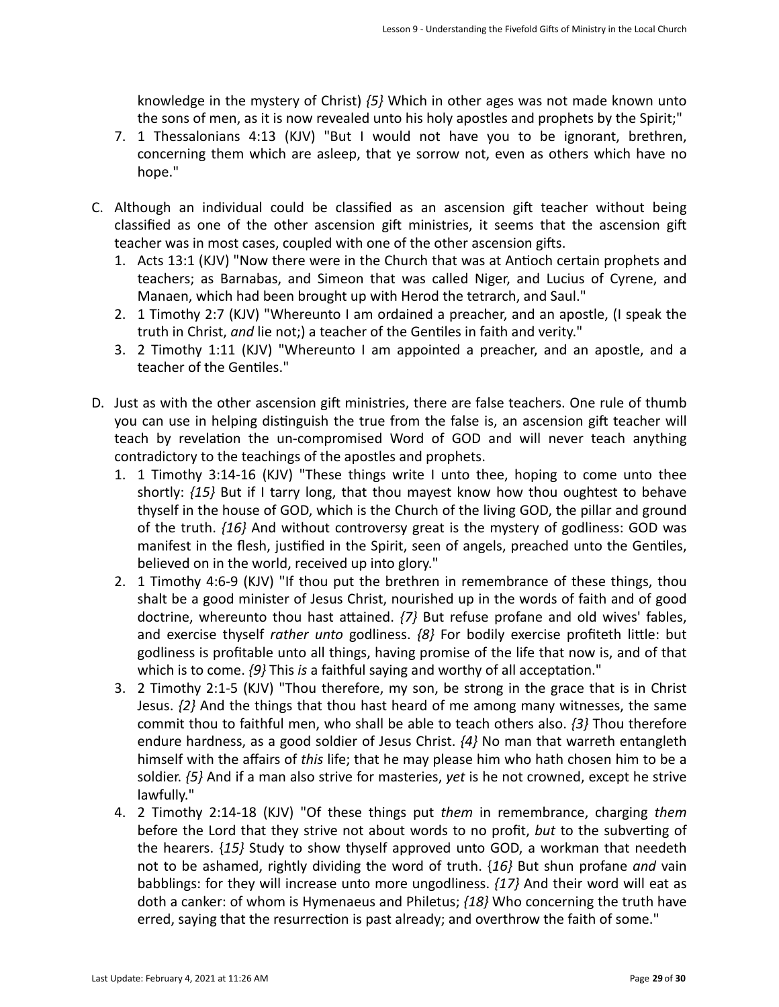knowledge in the mystery of Christ) {5} Which in other ages was not made known unto the sons of men, as it is now revealed unto his holy apostles and prophets by the Spirit;"

- 7. 1 Thessalonians 4:13 (KJV) "But I would not have you to be ignorant, brethren, concerning them which are asleep, that ye sorrow not, even as others which have no hope."
- C. Although an individual could be classified as an ascension gift teacher without being classified as one of the other ascension gift ministries, it seems that the ascension gift teacher was in most cases, coupled with one of the other ascension gifts.
	- 1. Acts 13:1 (KJV) "Now there were in the Church that was at Antioch certain prophets and teachers; as Barnabas, and Simeon that was called Niger, and Lucius of Cyrene, and Manaen, which had been brought up with Herod the tetrarch, and Saul."
	- 2. 1 Timothy 2:7 (KJV) "Whereunto I am ordained a preacher, and an apostle, (I speak the truth in Christ, and lie not;) a teacher of the Gentiles in faith and verity."
	- 3. 2 Timothy 1:11 (KJV) "Whereunto I am appointed a preacher, and an apostle, and a teacher of the Gentiles."
- D. Just as with the other ascension gift ministries, there are false teachers. One rule of thumb you can use in helping distinguish the true from the false is, an ascension gift teacher will teach by revelation the un-compromised Word of GOD and will never teach anything contradictory to the teachings of the apostles and prophets.
	- 1. 1 Timothy 3:14-16 (KJV) "These things write I unto thee, hoping to come unto thee shortly:  $\{15\}$  But if I tarry long, that thou mayest know how thou oughtest to behave thyself in the house of GOD, which is the Church of the living GOD, the pillar and ground of the truth.  ${16}$  And without controversy great is the mystery of godliness: GOD was manifest in the flesh, justified in the Spirit, seen of angels, preached unto the Gentiles, believed on in the world, received up into glory."
	- 2. 1 Timothy 4:6-9 (KJV) "If thou put the brethren in remembrance of these things, thou shalt be a good minister of Jesus Christ, nourished up in the words of faith and of good doctrine, whereunto thou hast attained.  $\{7\}$  But refuse profane and old wives' fables, and exercise thyself *rather unto* godliness. {8} For bodily exercise profiteth little: but godliness is profitable unto all things, having promise of the life that now is, and of that which is to come.  $\{9\}$  This *is* a faithful saying and worthy of all acceptation."
	- 3. 2 Timothy 2:1-5 (KJV) "Thou therefore, my son, be strong in the grace that is in Christ Jesus.  $\{2\}$  And the things that thou hast heard of me among many witnesses, the same commit thou to faithful men, who shall be able to teach others also.  $\{3\}$  Thou therefore endure hardness, as a good soldier of Jesus Christ.  $\{4\}$  No man that warreth entangleth himself with the affairs of *this* life; that he may please him who hath chosen him to be a soldier.  $\{5\}$  And if a man also strive for masteries, *yet* is he not crowned, except he strive lawfully."
	- 4. 2 Timothy 2:14-18 (KJV) "Of these things put *them* in remembrance, charging *them* before the Lord that they strive not about words to no profit, but to the subverting of the hearers. {15} Study to show thyself approved unto GOD, a workman that needeth not to be ashamed, rightly dividing the word of truth. {16} But shun profane *and* vain babblings: for they will increase unto more ungodliness.  $\{17\}$  And their word will eat as doth a canker: of whom is Hymenaeus and Philetus; {18} Who concerning the truth have erred, saying that the resurrection is past already; and overthrow the faith of some."